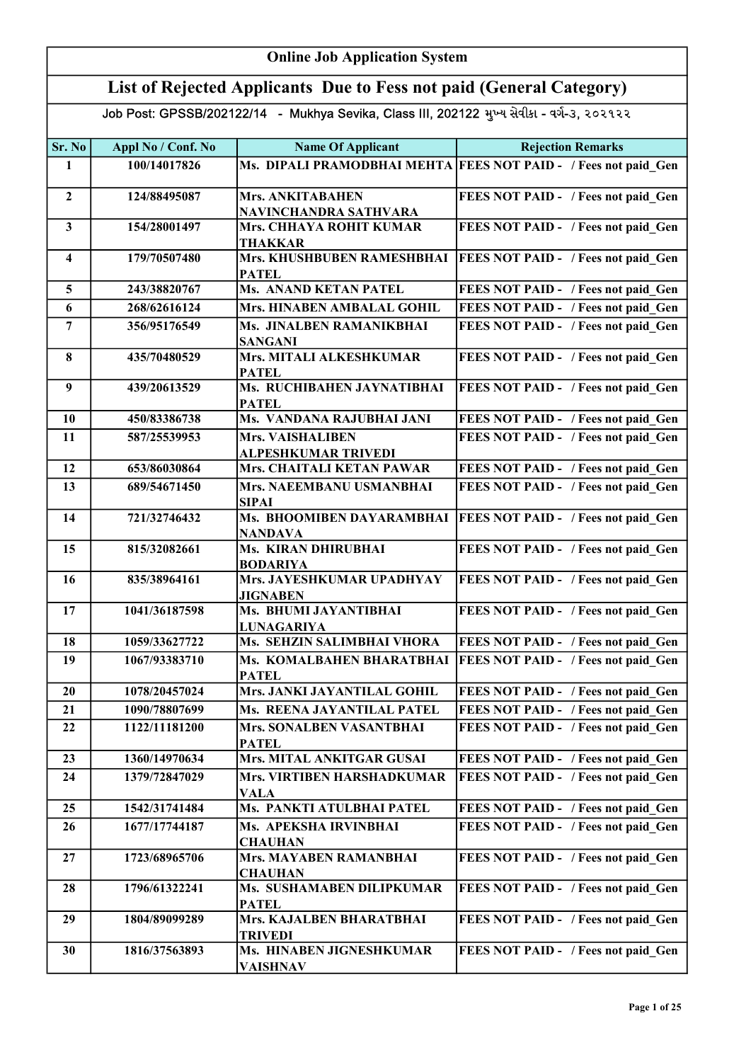| List of Rejected Applicants Due to Fess not paid (General Category)<br>Job Post: GPSSB/202122/14 - Mukhya Sevika, Class III, 202122 મુખ્ય સેવીકા - વર્ગ-૩, ૨૦૨૧૨૨<br>Appl No / Conf. No<br><b>Name Of Applicant</b><br>Sr. No<br>100/14017826<br>1<br><b>Mrs. ANKITABAHEN</b><br>$\overline{2}$<br>124/88495087<br>NAVINCHANDRA SATHVARA<br>Mrs. CHHAYA ROHIT KUMAR<br>$\mathbf{3}$<br>154/28001497<br><b>THAKKAR</b><br>Mrs. KHUSHBUBEN RAMESHBHAI<br>179/70507480<br>$\overline{\mathbf{4}}$ | <b>Rejection Remarks</b><br>Ms. DIPALI PRAMODBHAI MEHTA FEES NOT PAID - / Fees not paid Gen<br>FEES NOT PAID - / Fees not paid Gen<br>FEES NOT PAID - / Fees not paid Gen<br><b>FEES NOT PAID - / Fees not paid Gen</b> |
|------------------------------------------------------------------------------------------------------------------------------------------------------------------------------------------------------------------------------------------------------------------------------------------------------------------------------------------------------------------------------------------------------------------------------------------------------------------------------------------------|-------------------------------------------------------------------------------------------------------------------------------------------------------------------------------------------------------------------------|
|                                                                                                                                                                                                                                                                                                                                                                                                                                                                                                |                                                                                                                                                                                                                         |
|                                                                                                                                                                                                                                                                                                                                                                                                                                                                                                |                                                                                                                                                                                                                         |
|                                                                                                                                                                                                                                                                                                                                                                                                                                                                                                |                                                                                                                                                                                                                         |
|                                                                                                                                                                                                                                                                                                                                                                                                                                                                                                |                                                                                                                                                                                                                         |
|                                                                                                                                                                                                                                                                                                                                                                                                                                                                                                |                                                                                                                                                                                                                         |
|                                                                                                                                                                                                                                                                                                                                                                                                                                                                                                |                                                                                                                                                                                                                         |
| <b>PATEL</b>                                                                                                                                                                                                                                                                                                                                                                                                                                                                                   |                                                                                                                                                                                                                         |
| <b>Ms. ANAND KETAN PATEL</b><br>5<br>243/38820767                                                                                                                                                                                                                                                                                                                                                                                                                                              | FEES NOT PAID - / Fees not paid Gen                                                                                                                                                                                     |
| 6<br>268/62616124<br><b>Mrs. HINABEN AMBALAL GOHIL</b>                                                                                                                                                                                                                                                                                                                                                                                                                                         | FEES NOT PAID - / Fees not paid Gen                                                                                                                                                                                     |
| $\overline{7}$<br>356/95176549<br>Ms. JINALBEN RAMANIKBHAI<br><b>SANGANI</b>                                                                                                                                                                                                                                                                                                                                                                                                                   | FEES NOT PAID - / Fees not paid Gen                                                                                                                                                                                     |
| Mrs. MITALI ALKESHKUMAR<br>8<br>435/70480529<br><b>PATEL</b>                                                                                                                                                                                                                                                                                                                                                                                                                                   | FEES NOT PAID - / Fees not paid Gen                                                                                                                                                                                     |
| Ms. RUCHIBAHEN JAYNATIBHAI<br>$\boldsymbol{9}$<br>439/20613529<br><b>PATEL</b>                                                                                                                                                                                                                                                                                                                                                                                                                 | FEES NOT PAID - / Fees not paid Gen                                                                                                                                                                                     |
| Ms. VANDANA RAJUBHAI JANI<br>10<br>450/83386738                                                                                                                                                                                                                                                                                                                                                                                                                                                | FEES NOT PAID - / Fees not paid Gen                                                                                                                                                                                     |
| 11<br>587/25539953<br><b>Mrs. VAISHALIBEN</b><br>ALPESHKUMAR TRIVEDI                                                                                                                                                                                                                                                                                                                                                                                                                           | FEES NOT PAID - / Fees not paid Gen                                                                                                                                                                                     |
| 12<br>Mrs. CHAITALI KETAN PAWAR<br>653/86030864                                                                                                                                                                                                                                                                                                                                                                                                                                                | FEES NOT PAID - / Fees not paid Gen                                                                                                                                                                                     |
| 13<br>689/54671450<br>Mrs. NAEEMBANU USMANBHAI<br><b>SIPAI</b>                                                                                                                                                                                                                                                                                                                                                                                                                                 | FEES NOT PAID - / Fees not paid Gen                                                                                                                                                                                     |
| 14<br>Ms. BHOOMIBEN DAYARAMBHAI<br>721/32746432<br><b>NANDAVA</b>                                                                                                                                                                                                                                                                                                                                                                                                                              | <b>FEES NOT PAID - / Fees not paid Gen</b>                                                                                                                                                                              |
| Ms. KIRAN DHIRUBHAI<br>15<br>815/32082661<br><b>BODARIYA</b>                                                                                                                                                                                                                                                                                                                                                                                                                                   | <b>FEES NOT PAID - / Fees not paid Gen</b>                                                                                                                                                                              |
| Mrs. JAYESHKUMAR UPADHYAY<br>16<br>835/38964161<br><b>JIGNABEN</b>                                                                                                                                                                                                                                                                                                                                                                                                                             | FEES NOT PAID - / Fees not paid Gen                                                                                                                                                                                     |
| 17<br>Ms. BHUMI JAYANTIBHAI<br>1041/36187598<br><b>LUNAGARIYA</b>                                                                                                                                                                                                                                                                                                                                                                                                                              | FEES NOT PAID - / Fees not paid Gen                                                                                                                                                                                     |
| Ms. SEHZIN SALIMBHAI VHORA<br>18<br>1059/33627722                                                                                                                                                                                                                                                                                                                                                                                                                                              | FEES NOT PAID - / Fees not paid Gen                                                                                                                                                                                     |
| 19<br>Ms. KOMALBAHEN BHARATBHAI<br>1067/93383710<br><b>PATEL</b>                                                                                                                                                                                                                                                                                                                                                                                                                               | FEES NOT PAID - / Fees not paid Gen                                                                                                                                                                                     |
| Mrs. JANKI JAYANTILAL GOHIL<br>1078/20457024<br>20                                                                                                                                                                                                                                                                                                                                                                                                                                             | FEES NOT PAID - / Fees not paid Gen                                                                                                                                                                                     |
| Ms. REENA JAYANTILAL PATEL<br>21<br>1090/78807699                                                                                                                                                                                                                                                                                                                                                                                                                                              | FEES NOT PAID - / Fees not paid Gen                                                                                                                                                                                     |
| 22<br>1122/11181200<br><b>Mrs. SONALBEN VASANTBHAI</b><br><b>PATEL</b>                                                                                                                                                                                                                                                                                                                                                                                                                         | FEES NOT PAID - / Fees not paid Gen                                                                                                                                                                                     |
| Mrs. MITAL ANKITGAR GUSAI<br>23<br>1360/14970634                                                                                                                                                                                                                                                                                                                                                                                                                                               | FEES NOT PAID - / Fees not paid Gen                                                                                                                                                                                     |
| 24<br>1379/72847029<br>Mrs. VIRTIBEN HARSHADKUMAR<br><b>VALA</b>                                                                                                                                                                                                                                                                                                                                                                                                                               | FEES NOT PAID - / Fees not paid Gen                                                                                                                                                                                     |
| Ms. PANKTI ATULBHAI PATEL<br>25<br>1542/31741484                                                                                                                                                                                                                                                                                                                                                                                                                                               | FEES NOT PAID - / Fees not paid Gen                                                                                                                                                                                     |
| 1677/17744187<br>Ms. APEKSHA IRVINBHAI<br>26<br><b>CHAUHAN</b>                                                                                                                                                                                                                                                                                                                                                                                                                                 | FEES NOT PAID - / Fees not paid Gen                                                                                                                                                                                     |
| <b>Mrs. MAYABEN RAMANBHAI</b><br>27<br>1723/68965706<br><b>CHAUHAN</b>                                                                                                                                                                                                                                                                                                                                                                                                                         | FEES NOT PAID - / Fees not paid Gen                                                                                                                                                                                     |
| Ms. SUSHAMABEN DILIPKUMAR<br>28<br>1796/61322241<br><b>PATEL</b>                                                                                                                                                                                                                                                                                                                                                                                                                               | FEES NOT PAID - / Fees not paid Gen                                                                                                                                                                                     |
| Mrs. KAJALBEN BHARATBHAI<br>29<br>1804/89099289<br>TRIVEDI                                                                                                                                                                                                                                                                                                                                                                                                                                     | FEES NOT PAID - / Fees not paid Gen                                                                                                                                                                                     |
| 30<br>1816/37563893<br>Ms. HINABEN JIGNESHKUMAR<br>VAISHNAV                                                                                                                                                                                                                                                                                                                                                                                                                                    | FEES NOT PAID - / Fees not paid Gen                                                                                                                                                                                     |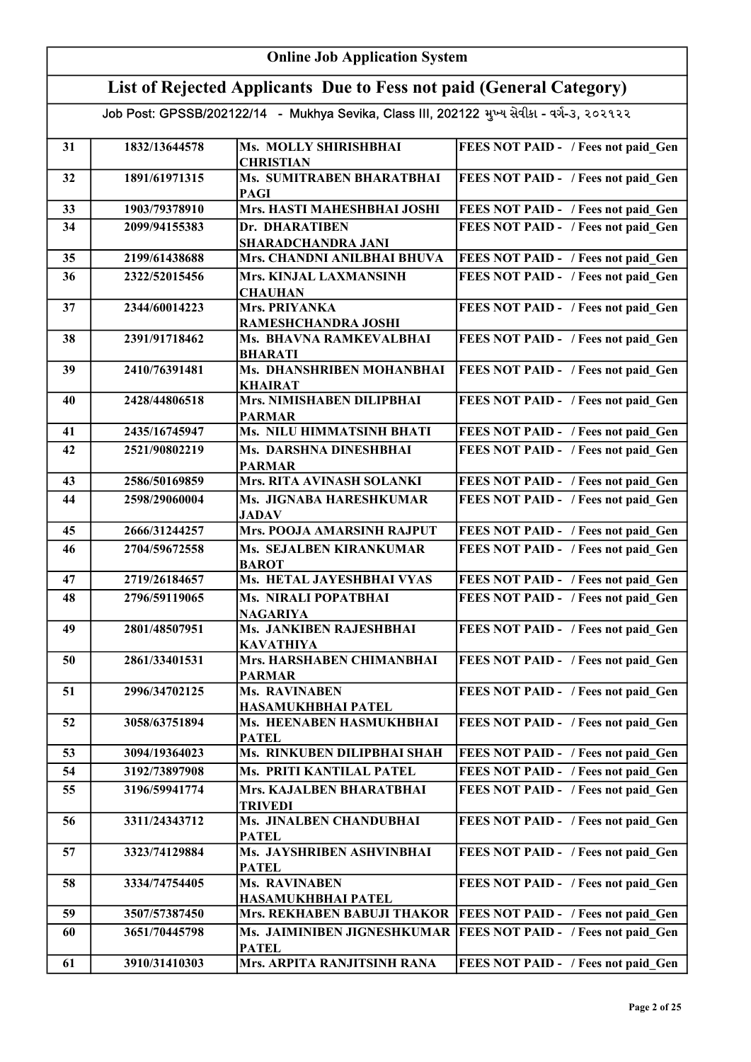|    | <b>Online Job Application System</b>                                                       |                                                                |                                            |  |
|----|--------------------------------------------------------------------------------------------|----------------------------------------------------------------|--------------------------------------------|--|
|    | List of Rejected Applicants Due to Fess not paid (General Category)                        |                                                                |                                            |  |
|    | Job Post: GPSSB/202122/14 - Mukhya Sevika, Class III, 202122 મુખ્ય સેવીકા - વર્ગ-૩, ૨૦૨૧૨૨ |                                                                |                                            |  |
|    |                                                                                            |                                                                |                                            |  |
| 31 | 1832/13644578                                                                              | <b>Ms. MOLLY SHIRISHBHAI</b><br><b>CHRISTIAN</b>               | FEES NOT PAID - / Fees not paid_Gen        |  |
| 32 | 1891/61971315                                                                              | Ms. SUMITRABEN BHARATBHAI<br><b>PAGI</b>                       | FEES NOT PAID - / Fees not paid Gen        |  |
| 33 | 1903/79378910                                                                              | Mrs. HASTI MAHESHBHAI JOSHI                                    | FEES NOT PAID - / Fees not paid Gen        |  |
| 34 | 2099/94155383                                                                              | Dr. DHARATIBEN<br><b>SHARADCHANDRA JANI</b>                    | FEES NOT PAID - / Fees not paid Gen        |  |
| 35 | 2199/61438688                                                                              | Mrs. CHANDNI ANILBHAI BHUVA                                    | FEES NOT PAID - / Fees not paid Gen        |  |
| 36 | 2322/52015456                                                                              | Mrs. KINJAL LAXMANSINH<br><b>CHAUHAN</b>                       | FEES NOT PAID - / Fees not paid Gen        |  |
| 37 | 2344/60014223                                                                              | <b>Mrs. PRIYANKA</b>                                           | <b>FEES NOT PAID - / Fees not paid_Gen</b> |  |
| 38 | 2391/91718462                                                                              | RAMESHCHANDRA JOSHI<br>Ms. BHAVNA RAMKEVALBHAI                 | FEES NOT PAID - / Fees not paid_Gen        |  |
| 39 | 2410/76391481                                                                              | <b>BHARATI</b><br>Ms. DHANSHRIBEN MOHANBHAI                    | FEES NOT PAID - / Fees not paid_Gen        |  |
|    |                                                                                            | <b>KHAIRAT</b><br><b>Mrs. NIMISHABEN DILIPBHAI</b>             |                                            |  |
| 40 | 2428/44806518                                                                              | <b>PARMAR</b>                                                  | FEES NOT PAID - / Fees not paid_Gen        |  |
| 41 | 2435/16745947                                                                              | Ms. NILU HIMMATSINH BHATI                                      | FEES NOT PAID - / Fees not paid Gen        |  |
| 42 | 2521/90802219                                                                              | Ms. DARSHNA DINESHBHAI<br><b>PARMAR</b>                        | FEES NOT PAID - / Fees not paid Gen        |  |
| 43 | 2586/50169859                                                                              | Mrs. RITA AVINASH SOLANKI                                      | FEES NOT PAID - / Fees not paid Gen        |  |
| 44 | 2598/29060004                                                                              | Ms. JIGNABA HARESHKUMAR<br><b>JADAV</b>                        | FEES NOT PAID - / Fees not paid Gen        |  |
| 45 | 2666/31244257                                                                              | Mrs. POOJA AMARSINH RAJPUT                                     | FEES NOT PAID - / Fees not paid Gen        |  |
| 46 | 2704/59672558                                                                              | Ms. SEJALBEN KIRANKUMAR<br><b>BAROT</b>                        | FEES NOT PAID - / Fees not paid Gen        |  |
| 47 | 2719/26184657                                                                              | Ms. HETAL JAYESHBHAI VYAS                                      | FEES NOT PAID - / Fees not paid Gen        |  |
| 48 | 2796/59119065                                                                              | Ms. NIRALI POPATBHAI<br><b>NAGARIYA</b>                        | FEES NOT PAID - / Fees not paid Gen        |  |
| 49 | 2801/48507951                                                                              | Ms. JANKIBEN RAJESHBHAI<br><b>KAVATHIYA</b>                    | FEES NOT PAID - / Fees not paid Gen        |  |
| 50 | 2861/33401531                                                                              | Mrs. HARSHABEN CHIMANBHAI<br><b>PARMAR</b>                     | FEES NOT PAID - / Fees not paid Gen        |  |
| 51 | 2996/34702125                                                                              | Ms. RAVINABEN                                                  | FEES NOT PAID - / Fees not paid Gen        |  |
| 52 | 3058/63751894                                                                              | HASAMUKHBHAI PATEL<br>Ms. HEENABEN HASMUKHBHAI<br><b>PATEL</b> | FEES NOT PAID - / Fees not paid Gen        |  |
| 53 | 3094/19364023                                                                              | Ms. RINKUBEN DILIPBHAI SHAH                                    | FEES NOT PAID - / Fees not paid Gen        |  |
| 54 | 3192/73897908                                                                              | Ms. PRITI KANTILAL PATEL                                       | FEES NOT PAID - / Fees not paid Gen        |  |
| 55 | 3196/59941774                                                                              | Mrs. KAJALBEN BHARATBHAI                                       | FEES NOT PAID - / Fees not paid Gen        |  |
|    |                                                                                            | <b>TRIVEDI</b>                                                 |                                            |  |
| 56 | 3311/24343712                                                                              | Ms. JINALBEN CHANDUBHAI<br><b>PATEL</b>                        | FEES NOT PAID - / Fees not paid Gen        |  |
| 57 | 3323/74129884                                                                              | Ms. JAYSHRIBEN ASHVINBHAI<br><b>PATEL</b>                      | FEES NOT PAID - / Fees not paid Gen        |  |
| 58 | 3334/74754405                                                                              | Ms. RAVINABEN<br>HASAMUKHBHAI PATEL                            | FEES NOT PAID - / Fees not paid Gen        |  |
| 59 | 3507/57387450                                                                              | Mrs. REKHABEN BABUJI THAKOR                                    | <b>FEES NOT PAID - / Fees not paid Gen</b> |  |
| 60 | 3651/70445798                                                                              | Ms. JAIMINIBEN JIGNESHKUMAR                                    | FEES NOT PAID - / Fees not paid Gen        |  |
| 61 | 3910/31410303                                                                              | <b>PATEL</b><br>Mrs. ARPITA RANJITSINH RANA                    | FEES NOT PAID - / Fees not paid Gen        |  |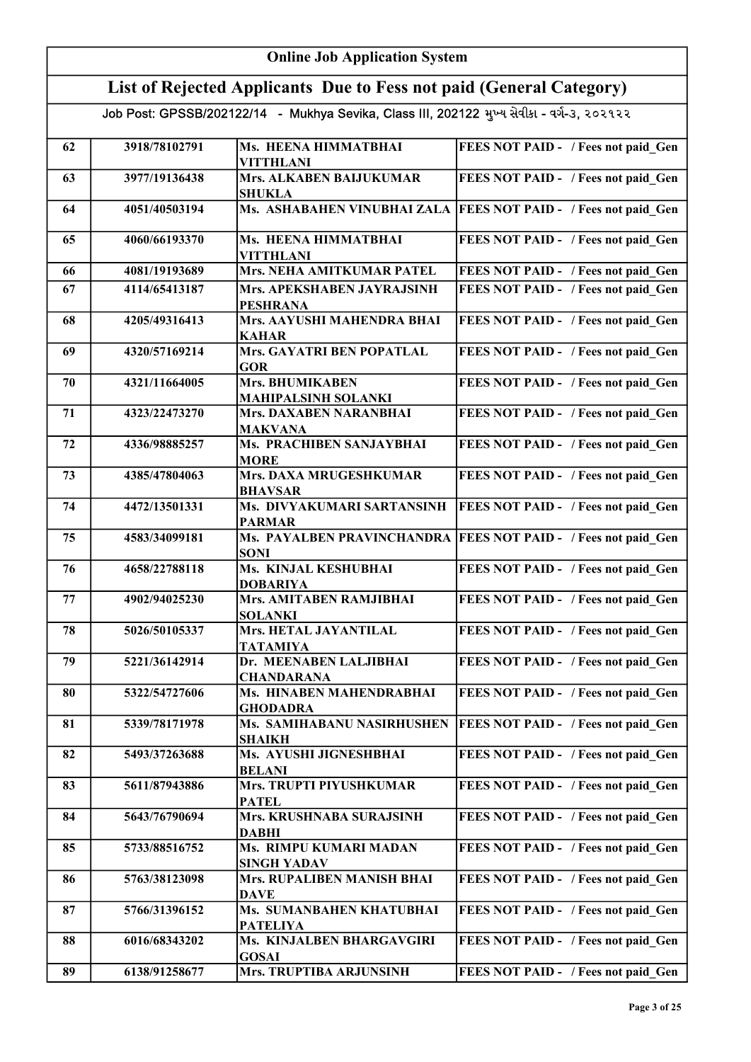|    | <b>Online Job Application System</b>                                |                                                                                            |                                                                   |  |
|----|---------------------------------------------------------------------|--------------------------------------------------------------------------------------------|-------------------------------------------------------------------|--|
|    | List of Rejected Applicants Due to Fess not paid (General Category) |                                                                                            |                                                                   |  |
|    |                                                                     | Job Post: GPSSB/202122/14 - Mukhya Sevika, Class III, 202122 મુખ્ય સેવીકા - વર્ગ-૩, ૨૦૨૧૨૨ |                                                                   |  |
| 62 | 3918/78102791                                                       | Ms. HEENA HIMMATBHAI<br><b>VITTHLANI</b>                                                   | FEES NOT PAID - / Fees not paid Gen                               |  |
| 63 | 3977/19136438                                                       | <b>Mrs. ALKABEN BAIJUKUMAR</b><br><b>SHUKLA</b>                                            | FEES NOT PAID - / Fees not paid Gen                               |  |
| 64 | 4051/40503194                                                       |                                                                                            | Ms. ASHABAHEN VINUBHAI ZALA   FEES NOT PAID - / Fees not paid Gen |  |
| 65 | 4060/66193370                                                       | Ms. HEENA HIMMATBHAI<br><b>VITTHLANI</b>                                                   | FEES NOT PAID - / Fees not paid Gen                               |  |
| 66 | 4081/19193689                                                       | Mrs. NEHA AMITKUMAR PATEL                                                                  | FEES NOT PAID - / Fees not paid Gen                               |  |
| 67 | 4114/65413187                                                       | Mrs. APEKSHABEN JAYRAJSINH<br><b>PESHRANA</b>                                              | FEES NOT PAID - / Fees not paid Gen                               |  |
| 68 | 4205/49316413                                                       | Mrs. AAYUSHI MAHENDRA BHAI<br><b>KAHAR</b>                                                 | FEES NOT PAID - / Fees not paid Gen                               |  |
| 69 | 4320/57169214                                                       | Mrs. GAYATRI BEN POPATLAL<br><b>GOR</b>                                                    | FEES NOT PAID - / Fees not paid Gen                               |  |
| 70 | 4321/11664005                                                       | Mrs. BHUMIKABEN<br><b>MAHIPALSINH SOLANKI</b>                                              | FEES NOT PAID - / Fees not paid Gen                               |  |
| 71 | 4323/22473270                                                       | <b>Mrs. DAXABEN NARANBHAI</b><br><b>MAKVANA</b>                                            | FEES NOT PAID - / Fees not paid_Gen                               |  |
| 72 | 4336/98885257                                                       | Ms. PRACHIBEN SANJAYBHAI<br><b>MORE</b>                                                    | FEES NOT PAID - / Fees not paid_Gen                               |  |
| 73 | 4385/47804063                                                       | <b>Mrs. DAXA MRUGESHKUMAR</b><br><b>BHAVSAR</b>                                            | FEES NOT PAID - / Fees not paid_Gen                               |  |
| 74 | 4472/13501331                                                       | Ms. DIVYAKUMARI SARTANSINH<br><b>PARMAR</b>                                                | FEES NOT PAID - / Fees not paid_Gen                               |  |
| 75 | 4583/34099181                                                       | Ms. PAYALBEN PRAVINCHANDRA<br><b>SONI</b>                                                  | <b>FEES NOT PAID - / Fees not paid Gen</b>                        |  |
| 76 | 4658/22788118                                                       | Ms. KINJAL KESHUBHAI<br><b>DOBARIYA</b>                                                    | FEES NOT PAID - / Fees not paid_Gen                               |  |
| 77 | 4902/94025230                                                       | Mrs. AMITABEN RAMJIBHAI<br><b>SOLANKI</b>                                                  | FEES NOT PAID - / Fees not paid Gen                               |  |
| 78 | 5026/50105337                                                       | Mrs. HETAL JAYANTILAL<br><b>TATAMIYA</b>                                                   | FEES NOT PAID - / Fees not paid Gen                               |  |
| 79 | 5221/36142914                                                       | Dr. MEENABEN LALJIBHAI<br><b>CHANDARANA</b>                                                | FEES NOT PAID - / Fees not paid Gen                               |  |
| 80 | 5322/54727606                                                       | Ms. HINABEN MAHENDRABHAI<br><b>GHODADRA</b>                                                | FEES NOT PAID - / Fees not paid Gen                               |  |
| 81 | 5339/78171978                                                       | Ms. SAMIHABANU NASIRHUSHEN<br><b>SHAIKH</b>                                                | <b>FEES NOT PAID - / Fees not paid_Gen</b>                        |  |
| 82 | 5493/37263688                                                       | Ms. AYUSHI JIGNESHBHAI<br><b>BELANI</b>                                                    | FEES NOT PAID - / Fees not paid_Gen                               |  |
| 83 | 5611/87943886                                                       | Mrs. TRUPTI PIYUSHKUMAR<br><b>PATEL</b>                                                    | FEES NOT PAID - / Fees not paid_Gen                               |  |
| 84 | 5643/76790694                                                       | Mrs. KRUSHNABA SURAJSINH<br><b>DABHI</b>                                                   | FEES NOT PAID - / Fees not paid_Gen                               |  |
| 85 | 5733/88516752                                                       | Ms. RIMPU KUMARI MADAN<br><b>SINGH YADAV</b>                                               | FEES NOT PAID - / Fees not paid_Gen                               |  |
| 86 | 5763/38123098                                                       | <b>Mrs. RUPALIBEN MANISH BHAI</b><br><b>DAVE</b>                                           | FEES NOT PAID - / Fees not paid_Gen                               |  |
| 87 | 5766/31396152                                                       | Ms. SUMANBAHEN KHATUBHAI<br><b>PATELIYA</b>                                                | FEES NOT PAID - / Fees not paid_Gen                               |  |
| 88 | 6016/68343202                                                       | Ms. KINJALBEN BHARGAVGIRI<br><b>GOSAI</b>                                                  | FEES NOT PAID - / Fees not paid_Gen                               |  |
| 89 | 6138/91258677                                                       | Mrs. TRUPTIBA ARJUNSINH                                                                    | FEES NOT PAID - / Fees not paid Gen                               |  |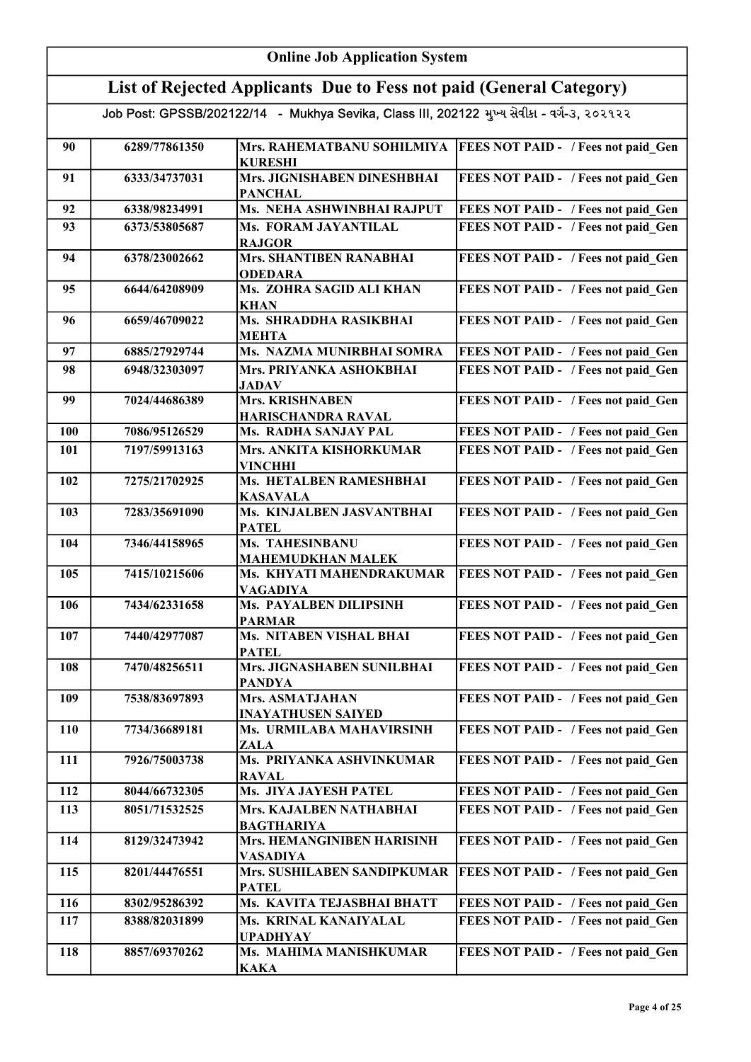| <b>Online Job Application System</b> |                                                                                            |                                               |                                                                  |  |
|--------------------------------------|--------------------------------------------------------------------------------------------|-----------------------------------------------|------------------------------------------------------------------|--|
|                                      | List of Rejected Applicants Due to Fess not paid (General Category)                        |                                               |                                                                  |  |
|                                      | Job Post: GPSSB/202122/14 - Mukhya Sevika, Class III, 202122 મુખ્ય સેવીકા - વર્ગ-૩, ૨૦૨૧૨૨ |                                               |                                                                  |  |
| 90                                   | 6289/77861350                                                                              | <b>KURESHI</b>                                | Mrs. RAHEMATBANU SOHILMIYA   FEES NOT PAID - / Fees not paid Gen |  |
| 91                                   | 6333/34737031                                                                              | Mrs. JIGNISHABEN DINESHBHAI<br><b>PANCHAL</b> | FEES NOT PAID - / Fees not paid Gen                              |  |
| 92                                   | 6338/98234991                                                                              | Ms. NEHA ASHWINBHAI RAJPUT                    | FEES NOT PAID - / Fees not paid Gen                              |  |
| 93                                   | 6373/53805687                                                                              | Ms. FORAM JAYANTILAL<br><b>RAJGOR</b>         | FEES NOT PAID - / Fees not paid Gen                              |  |
| 94                                   | 6378/23002662                                                                              | Mrs. SHANTIBEN RANABHAI<br><b>ODEDARA</b>     | FEES NOT PAID - / Fees not paid Gen                              |  |
| 95                                   | 6644/64208909                                                                              | Ms. ZOHRA SAGID ALI KHAN<br><b>KHAN</b>       | FEES NOT PAID - / Fees not paid Gen                              |  |
| 96                                   | 6659/46709022                                                                              | Ms. SHRADDHA RASIKBHAI<br><b>MEHTA</b>        | FEES NOT PAID - / Fees not paid Gen                              |  |
| 97                                   | 6885/27929744                                                                              | Ms. NAZMA MUNIRBHAI SOMRA                     | FEES NOT PAID - / Fees not paid Gen                              |  |
| 98                                   | 6948/32303097                                                                              | Mrs. PRIYANKA ASHOKBHAI<br><b>JADAV</b>       | FEES NOT PAID - / Fees not paid Gen                              |  |
| 99                                   | 7024/44686389                                                                              | <b>Mrs. KRISHNABEN</b><br>HARISCHANDRA RAVAL  | FEES NOT PAID - / Fees not paid_Gen                              |  |
| 100                                  | 7086/95126529                                                                              | Ms. RADHA SANJAY PAL                          | FEES NOT PAID - / Fees not paid Gen                              |  |
| 101                                  | 7197/59913163                                                                              | Mrs. ANKITA KISHORKUMAR<br><b>VINCHHI</b>     | FEES NOT PAID - / Fees not paid Gen                              |  |
| 102                                  | 7275/21702925                                                                              | Ms. HETALBEN RAMESHBHAI<br><b>KASAVALA</b>    | FEES NOT PAID - / Fees not paid Gen                              |  |
| 103                                  | 7283/35691090                                                                              | Ms. KINJALBEN JASVANTBHAI<br><b>PATEL</b>     | FEES NOT PAID - / Fees not paid Gen                              |  |
| 104                                  | 7346/44158965                                                                              | Ms. TAHESINBANU<br><b>MAHEMUDKHAN MALEK</b>   | FEES NOT PAID - / Fees not paid Gen                              |  |
| 105                                  | 7415/10215606                                                                              | Ms. KHYATI MAHENDRAKUMAR<br><b>VAGADIYA</b>   | FEES NOT PAID - / Fees not paid Gen                              |  |
| 106                                  | 7434/62331658                                                                              | Ms. PAYALBEN DILIPSINH<br><b>PARMAR</b>       | FEES NOT PAID - / Fees not paid Gen                              |  |
| 107                                  | 7440/42977087                                                                              | Ms. NITABEN VISHAL BHAI<br><b>PATEL</b>       | FEES NOT PAID - / Fees not paid_Gen                              |  |
| 108                                  | 7470/48256511                                                                              | Mrs. JIGNASHABEN SUNILBHAI<br><b>PANDYA</b>   | FEES NOT PAID - / Fees not paid_Gen                              |  |
| 109                                  | 7538/83697893                                                                              | Mrs. ASMATJAHAN<br><b>INAYATHUSEN SAIYED</b>  | FEES NOT PAID - / Fees not paid Gen                              |  |
| 110                                  | 7734/36689181                                                                              | Ms. URMILABA MAHAVIRSINH<br>ZALA              | FEES NOT PAID - / Fees not paid_Gen                              |  |
| 111                                  | 7926/75003738                                                                              | Ms. PRIYANKA ASHVINKUMAR<br><b>RAVAL</b>      | FEES NOT PAID - / Fees not paid Gen                              |  |
| 112                                  | 8044/66732305                                                                              | Ms. JIYA JAYESH PATEL                         | FEES NOT PAID - / Fees not paid Gen                              |  |
| 113                                  | 8051/71532525                                                                              | Mrs. KAJALBEN NATHABHAI<br><b>BAGTHARIYA</b>  | FEES NOT PAID - / Fees not paid Gen                              |  |
| 114                                  | 8129/32473942                                                                              | Mrs. HEMANGINIBEN HARISINH<br><b>VASADIYA</b> | FEES NOT PAID - / Fees not paid Gen                              |  |
| 115                                  | 8201/44476551                                                                              | Mrs. SUSHILABEN SANDIPKUMAR<br><b>PATEL</b>   | FEES NOT PAID - / Fees not paid Gen                              |  |
| 116                                  | 8302/95286392                                                                              | Ms. KAVITA TEJASBHAI BHATT                    | FEES NOT PAID - / Fees not paid_Gen                              |  |
| 117                                  | 8388/82031899                                                                              | Ms. KRINAL KANAIYALAL<br><b>UPADHYAY</b>      | FEES NOT PAID - / Fees not paid_Gen                              |  |
| 118                                  | 8857/69370262                                                                              | Ms. MAHIMA MANISHKUMAR<br><b>KAKA</b>         | FEES NOT PAID - / Fees not paid Gen                              |  |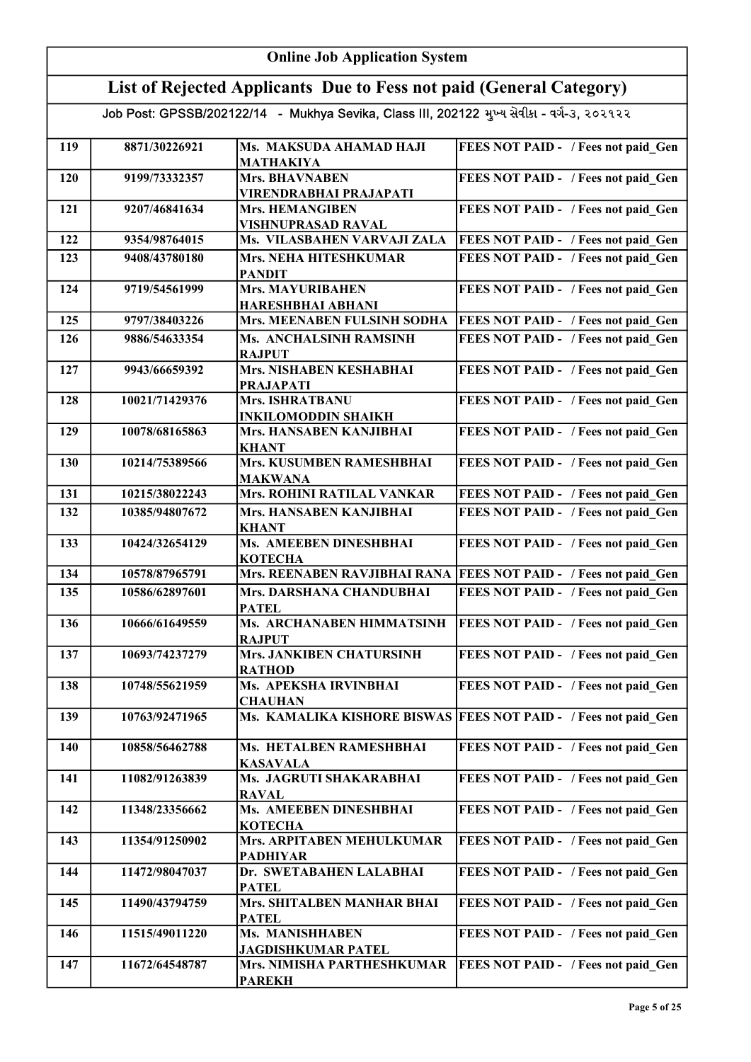|     | <b>Online Job Application System</b>                                                       |                                                    |                                                                    |  |
|-----|--------------------------------------------------------------------------------------------|----------------------------------------------------|--------------------------------------------------------------------|--|
|     | List of Rejected Applicants Due to Fess not paid (General Category)                        |                                                    |                                                                    |  |
|     | Job Post: GPSSB/202122/14 - Mukhya Sevika, Class III, 202122 મુખ્ય સેવીકા - વર્ગ-૩, ૨૦૨૧૨૨ |                                                    |                                                                    |  |
| 119 | 8871/30226921                                                                              | Ms. MAKSUDA AHAMAD HAJI<br><b>MATHAKIYA</b>        | FEES NOT PAID - / Fees not paid Gen                                |  |
| 120 | 9199/73332357                                                                              | Mrs. BHAVNABEN<br>VIRENDRABHAI PRAJAPATI           | FEES NOT PAID - / Fees not paid_Gen                                |  |
| 121 | 9207/46841634                                                                              | <b>Mrs. HEMANGIBEN</b><br>VISHNUPRASAD RAVAL       | FEES NOT PAID - / Fees not paid Gen                                |  |
| 122 | 9354/98764015                                                                              | Ms. VILASBAHEN VARVAJI ZALA                        | FEES NOT PAID - / Fees not paid Gen                                |  |
| 123 | 9408/43780180                                                                              | Mrs. NEHA HITESHKUMAR<br><b>PANDIT</b>             | FEES NOT PAID - / Fees not paid Gen                                |  |
| 124 | 9719/54561999                                                                              | <b>Mrs. MAYURIBAHEN</b><br>HARESHBHAI ABHANI       | FEES NOT PAID - / Fees not paid Gen                                |  |
| 125 | 9797/38403226                                                                              | Mrs. MEENABEN FULSINH SODHA                        | <b>FEES NOT PAID - / Fees not paid Gen</b>                         |  |
| 126 | 9886/54633354                                                                              | Ms. ANCHALSINH RAMSINH<br><b>RAJPUT</b>            | FEES NOT PAID - / Fees not paid Gen                                |  |
| 127 | 9943/66659392                                                                              | <b>Mrs. NISHABEN KESHABHAI</b><br><b>PRAJAPATI</b> | FEES NOT PAID - / Fees not paid Gen                                |  |
| 128 | 10021/71429376                                                                             | Mrs. ISHRATBANU<br><b>INKILOMODDIN SHAIKH</b>      | FEES NOT PAID - / Fees not paid_Gen                                |  |
| 129 | 10078/68165863                                                                             | Mrs. HANSABEN KANJIBHAI<br>KHANT                   | FEES NOT PAID - / Fees not paid_Gen                                |  |
| 130 | 10214/75389566                                                                             | Mrs. KUSUMBEN RAMESHBHAI<br><b>MAKWANA</b>         | FEES NOT PAID - / Fees not paid Gen                                |  |
| 131 | 10215/38022243                                                                             | Mrs. ROHINI RATILAL VANKAR                         | FEES NOT PAID - / Fees not paid Gen                                |  |
| 132 | 10385/94807672                                                                             | Mrs. HANSABEN KANJIBHAI<br><b>KHANT</b>            | FEES NOT PAID - / Fees not paid Gen                                |  |
| 133 | 10424/32654129                                                                             | Ms. AMEEBEN DINESHBHAI<br><b>KOTECHA</b>           | FEES NOT PAID - / Fees not paid Gen                                |  |
| 134 | 10578/87965791                                                                             |                                                    | Mrs. REENABEN RAVJIBHAI RANA   FEES NOT PAID - / Fees not paid Gen |  |
| 135 | 10586/62897601                                                                             | Mrs. DARSHANA CHANDUBHAI<br>PATEL                  | FEES NOT PAID - / Fees not paid Gen                                |  |
| 136 | 10666/61649559                                                                             | Ms. ARCHANABEN HIMMATSINH<br><b>RAJPUT</b>         | FEES NOT PAID - / Fees not paid Gen                                |  |
| 137 | 10693/74237279                                                                             | Mrs. JANKIBEN CHATURSINH<br><b>RATHOD</b>          | FEES NOT PAID - / Fees not paid Gen                                |  |
| 138 | 10748/55621959                                                                             | Ms. APEKSHA IRVINBHAI<br><b>CHAUHAN</b>            | FEES NOT PAID - / Fees not paid Gen                                |  |
| 139 | 10763/92471965                                                                             | Ms. KAMALIKA KISHORE BISWAS                        | <b>FEES NOT PAID - / Fees not paid Gen</b>                         |  |
| 140 | 10858/56462788                                                                             | Ms. HETALBEN RAMESHBHAI<br><b>KASAVALA</b>         | FEES NOT PAID - / Fees not paid Gen                                |  |
| 141 | 11082/91263839                                                                             | Ms. JAGRUTI SHAKARABHAI<br><b>RAVAL</b>            | FEES NOT PAID - / Fees not paid Gen                                |  |
| 142 | 11348/23356662                                                                             | Ms. AMEEBEN DINESHBHAI<br><b>KOTECHA</b>           | FEES NOT PAID - / Fees not paid Gen                                |  |
| 143 | 11354/91250902                                                                             | Mrs. ARPITABEN MEHULKUMAR<br><b>PADHIYAR</b>       | FEES NOT PAID - / Fees not paid Gen                                |  |
| 144 | 11472/98047037                                                                             | Dr. SWETABAHEN LALABHAI<br><b>PATEL</b>            | FEES NOT PAID - / Fees not paid Gen                                |  |
| 145 | 11490/43794759                                                                             | Mrs. SHITALBEN MANHAR BHAI<br><b>PATEL</b>         | FEES NOT PAID - / Fees not paid Gen                                |  |
| 146 | 11515/49011220                                                                             | Ms. MANISHHABEN<br><b>JAGDISHKUMAR PATEL</b>       | FEES NOT PAID - / Fees not paid Gen                                |  |
| 147 | 11672/64548787                                                                             | Mrs. NIMISHA PARTHESHKUMAR<br><b>PAREKH</b>        | FEES NOT PAID - / Fees not paid Gen                                |  |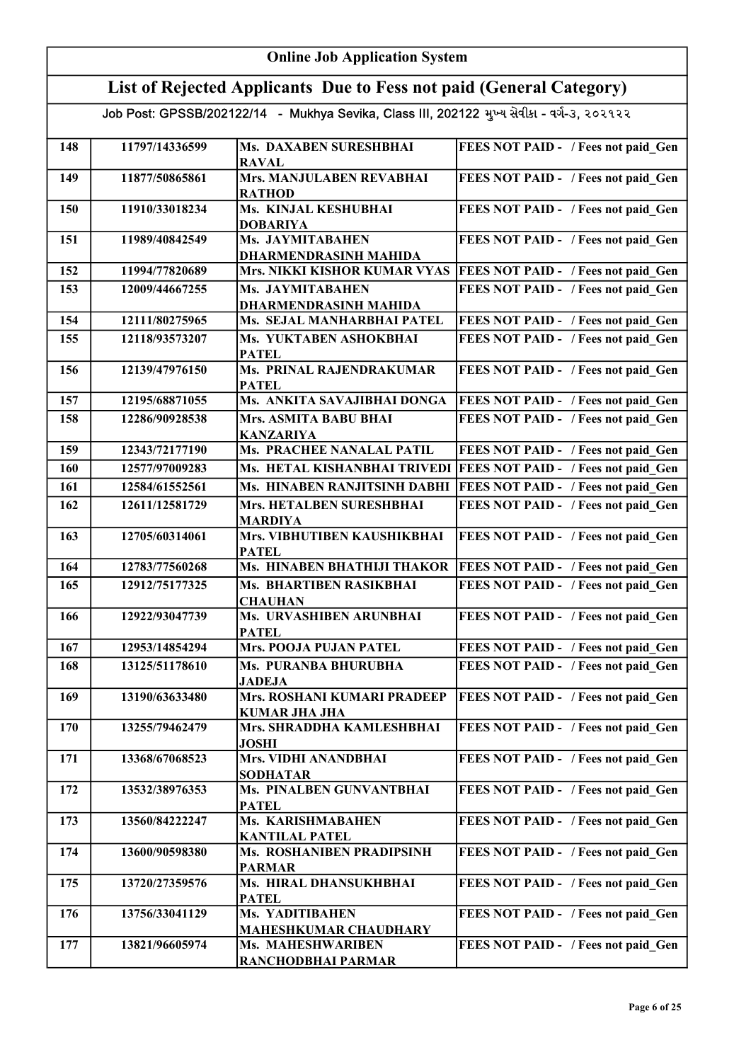|     | <b>Online Job Application System</b>                                                       |                                                     |                                            |  |
|-----|--------------------------------------------------------------------------------------------|-----------------------------------------------------|--------------------------------------------|--|
|     | List of Rejected Applicants Due to Fess not paid (General Category)                        |                                                     |                                            |  |
|     | Job Post: GPSSB/202122/14 - Mukhya Sevika, Class III, 202122 મુખ્ય સેવીકા - વર્ગ-૩, ૨૦૨૧૨૨ |                                                     |                                            |  |
| 148 | 11797/14336599                                                                             | Ms. DAXABEN SURESHBHAI<br><b>RAVAL</b>              | FEES NOT PAID - / Fees not paid Gen        |  |
| 149 | 11877/50865861                                                                             | Mrs. MANJULABEN REVABHAI<br><b>RATHOD</b>           | FEES NOT PAID - / Fees not paid Gen        |  |
| 150 | 11910/33018234                                                                             | Ms. KINJAL KESHUBHAI<br><b>DOBARIYA</b>             | FEES NOT PAID - / Fees not paid Gen        |  |
| 151 | 11989/40842549                                                                             | Ms. JAYMITABAHEN<br><b>DHARMENDRASINH MAHIDA</b>    | FEES NOT PAID - / Fees not paid Gen        |  |
| 152 | 11994/77820689                                                                             | Mrs. NIKKI KISHOR KUMAR VYAS                        | <b>FEES NOT PAID - / Fees not paid Gen</b> |  |
| 153 | 12009/44667255                                                                             | Ms. JAYMITABAHEN<br><b>DHARMENDRASINH MAHIDA</b>    | FEES NOT PAID - / Fees not paid Gen        |  |
| 154 | 12111/80275965                                                                             | Ms. SEJAL MANHARBHAI PATEL                          | FEES NOT PAID - / Fees not paid Gen        |  |
| 155 | 12118/93573207                                                                             | Ms. YUKTABEN ASHOKBHAI<br><b>PATEL</b>              | FEES NOT PAID - / Fees not paid Gen        |  |
| 156 | 12139/47976150                                                                             | Ms. PRINAL RAJENDRAKUMAR<br><b>PATEL</b>            | FEES NOT PAID - / Fees not paid Gen        |  |
| 157 | 12195/68871055                                                                             | Ms. ANKITA SAVAJIBHAI DONGA                         | <b>FEES NOT PAID - / Fees not paid Gen</b> |  |
| 158 | 12286/90928538                                                                             | Mrs. ASMITA BABU BHAI<br><b>KANZARIYA</b>           | FEES NOT PAID - / Fees not paid Gen        |  |
| 159 | 12343/72177190                                                                             | <b>Ms. PRACHEE NANALAL PATIL</b>                    | FEES NOT PAID - / Fees not paid Gen        |  |
| 160 | 12577/97009283                                                                             | Ms. HETAL KISHANBHAI TRIVEDI                        | <b>FEES NOT PAID - / Fees not paid Gen</b> |  |
| 161 | 12584/61552561                                                                             | Ms. HINABEN RANJITSINH DABHI                        | FEES NOT PAID - / Fees not paid Gen        |  |
| 162 | 12611/12581729                                                                             | Mrs. HETALBEN SURESHBHAI<br><b>MARDIYA</b>          | FEES NOT PAID - / Fees not paid Gen        |  |
| 163 | 12705/60314061                                                                             | Mrs. VIBHUTIBEN KAUSHIKBHAI<br><b>PATEL</b>         | FEES NOT PAID - / Fees not paid Gen        |  |
| 164 | 12783/77560268                                                                             | Ms. HINABEN BHATHIJI THAKOR                         | <b>FEES NOT PAID - / Fees not paid Gen</b> |  |
| 165 | 12912/75177325                                                                             | Ms. BHARTIBEN RASIKBHAI<br><b>CHAUHAN</b>           | FEES NOT PAID - / Fees not paid Gen        |  |
| 166 | 12922/93047739                                                                             | Ms. URVASHIBEN ARUNBHAI<br><b>PATEL</b>             | <b>FEES NOT PAID - / Fees not paid Gen</b> |  |
| 167 | 12953/14854294                                                                             | <b>Mrs. POOJA PUJAN PATEL</b>                       | FEES NOT PAID - / Fees not paid Gen        |  |
| 168 | 13125/51178610                                                                             | Ms. PURANBA BHURUBHA<br><b>JADEJA</b>               | FEES NOT PAID - / Fees not paid Gen        |  |
| 169 | 13190/63633480                                                                             | Mrs. ROSHANI KUMARI PRADEEP<br><b>KUMAR JHA JHA</b> | FEES NOT PAID - / Fees not paid Gen        |  |
| 170 | 13255/79462479                                                                             | Mrs. SHRADDHA KAMLESHBHAI<br><b>JOSHI</b>           | FEES NOT PAID - / Fees not paid Gen        |  |
| 171 | 13368/67068523                                                                             | Mrs. VIDHI ANANDBHAI<br><b>SODHATAR</b>             | FEES NOT PAID - / Fees not paid Gen        |  |
| 172 | 13532/38976353                                                                             | Ms. PINALBEN GUNVANTBHAI<br><b>PATEL</b>            | FEES NOT PAID - / Fees not paid Gen        |  |
| 173 | 13560/84222247                                                                             | Ms. KARISHMABAHEN<br><b>KANTILAL PATEL</b>          | FEES NOT PAID - / Fees not paid Gen        |  |
| 174 | 13600/90598380                                                                             | Ms. ROSHANIBEN PRADIPSINH<br><b>PARMAR</b>          | FEES NOT PAID - / Fees not paid Gen        |  |
| 175 | 13720/27359576                                                                             | Ms. HIRAL DHANSUKHBHAI<br><b>PATEL</b>              | FEES NOT PAID - / Fees not paid Gen        |  |
| 176 | 13756/33041129                                                                             | Ms. YADITIBAHEN<br><b>MAHESHKUMAR CHAUDHARY</b>     | FEES NOT PAID - / Fees not paid Gen        |  |
| 177 | 13821/96605974                                                                             | Ms. MAHESHWARIBEN<br>RANCHODBHAI PARMAR             | FEES NOT PAID - / Fees not paid Gen        |  |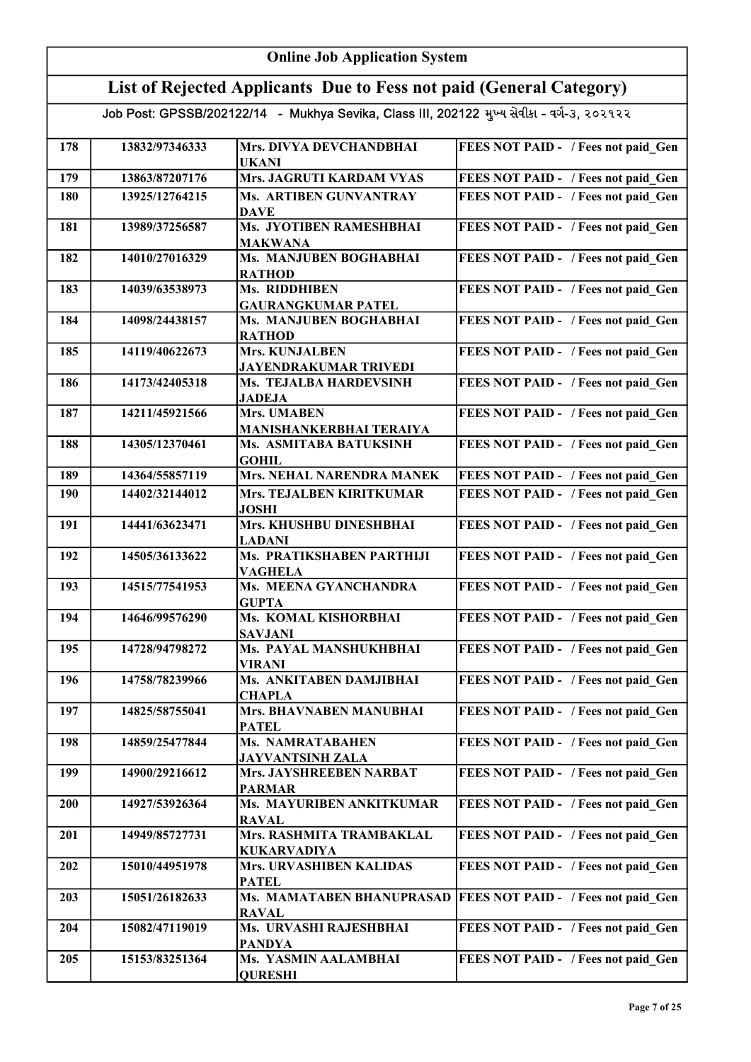|            | <b>Online Job Application System</b>                                                       |                                                    |                                            |  |
|------------|--------------------------------------------------------------------------------------------|----------------------------------------------------|--------------------------------------------|--|
|            | List of Rejected Applicants Due to Fess not paid (General Category)                        |                                                    |                                            |  |
|            | Job Post: GPSSB/202122/14 - Mukhya Sevika, Class III, 202122 મુખ્ય સેવીકા - વર્ગ-૩, ૨૦૨૧૨૨ |                                                    |                                            |  |
| 178        | 13832/97346333                                                                             | Mrs. DIVYA DEVCHANDBHAI                            | FEES NOT PAID - / Fees not paid_Gen        |  |
|            |                                                                                            | <b>UKANI</b>                                       |                                            |  |
| 179        | 13863/87207176                                                                             | Mrs. JAGRUTI KARDAM VYAS                           | FEES NOT PAID - / Fees not paid Gen        |  |
| 180        | 13925/12764215                                                                             | Ms. ARTIBEN GUNVANTRAY<br><b>DAVE</b>              | FEES NOT PAID - / Fees not paid Gen        |  |
| 181        | 13989/37256587                                                                             | Ms. JYOTIBEN RAMESHBHAI<br><b>MAKWANA</b>          | FEES NOT PAID - / Fees not paid Gen        |  |
| 182        | 14010/27016329                                                                             | Ms. MANJUBEN BOGHABHAI<br><b>RATHOD</b>            | FEES NOT PAID - / Fees not paid Gen        |  |
| 183        | 14039/63538973                                                                             | Ms. RIDDHIBEN<br><b>GAURANGKUMAR PATEL</b>         | FEES NOT PAID - / Fees not paid Gen        |  |
| 184        | 14098/24438157                                                                             | Ms. MANJUBEN BOGHABHAI<br><b>RATHOD</b>            | FEES NOT PAID - / Fees not paid_Gen        |  |
| 185        | 14119/40622673                                                                             | Mrs. KUNJALBEN<br><b>JAYENDRAKUMAR TRIVEDI</b>     | FEES NOT PAID - / Fees not paid Gen        |  |
| 186        | 14173/42405318                                                                             | <b>Ms. TEJALBA HARDEVSINH</b><br><b>JADEJA</b>     | FEES NOT PAID - / Fees not paid_Gen        |  |
| 187        | 14211/45921566                                                                             | <b>Mrs. UMABEN</b><br>MANISHANKERBHAI TERAIYA      | FEES NOT PAID - / Fees not paid_Gen        |  |
| 188        | 14305/12370461                                                                             | Ms. ASMITABA BATUKSINH<br><b>GOHIL</b>             | FEES NOT PAID - / Fees not paid_Gen        |  |
| 189        | 14364/55857119                                                                             | Mrs. NEHAL NARENDRA MANEK                          | FEES NOT PAID - / Fees not paid Gen        |  |
| 190        | 14402/32144012                                                                             | <b>Mrs. TEJALBEN KIRITKUMAR</b><br><b>JOSHI</b>    | FEES NOT PAID - / Fees not paid Gen        |  |
| 191        | 14441/63623471                                                                             | Mrs. KHUSHBU DINESHBHAI<br><b>LADANI</b>           | FEES NOT PAID - / Fees not paid Gen        |  |
| 192        | 14505/36133622                                                                             | <b>Ms. PRATIKSHABEN PARTHIJI</b><br><b>VAGHELA</b> | FEES NOT PAID - / Fees not paid Gen        |  |
| 193        | 14515/77541953                                                                             | Ms. MEENA GYANCHANDRA<br><b>GUPTA</b>              | FEES NOT PAID - / Fees not paid Gen        |  |
| 194        | 14646/99576290                                                                             | Ms. KOMAL KISHORBHAI<br><b>SAVJANI</b>             | FEES NOT PAID - / Fees not paid Gen        |  |
| 195        | 14728/94798272                                                                             | Ms. PAYAL MANSHUKHBHAI<br><b>VIRANI</b>            | FEES NOT PAID - / Fees not paid Gen        |  |
| 196        | 14758/78239966                                                                             | Ms. ANKITABEN DAMJIBHAI<br><b>CHAPLA</b>           | FEES NOT PAID - / Fees not paid_Gen        |  |
| 197        | 14825/58755041                                                                             | Mrs. BHAVNABEN MANUBHAI<br><b>PATEL</b>            | FEES NOT PAID - / Fees not paid Gen        |  |
| 198        | 14859/25477844                                                                             | <b>Ms. NAMRATABAHEN</b><br><b>JAYVANTSINH ZALA</b> | FEES NOT PAID - / Fees not paid Gen        |  |
| 199        | 14900/29216612                                                                             | Mrs. JAYSHREEBEN NARBAT<br><b>PARMAR</b>           | FEES NOT PAID - / Fees not paid Gen        |  |
| <b>200</b> | 14927/53926364                                                                             | Ms. MAYURIBEN ANKITKUMAR<br><b>RAVAL</b>           | FEES NOT PAID - / Fees not paid Gen        |  |
| 201        | 14949/85727731                                                                             | Mrs. RASHMITA TRAMBAKLAL<br><b>KUKARVADIYA</b>     | FEES NOT PAID - / Fees not paid Gen        |  |
| 202        | 15010/44951978                                                                             | Mrs. URVASHIBEN KALIDAS<br><b>PATEL</b>            | FEES NOT PAID - / Fees not paid Gen        |  |
| 203        | 15051/26182633                                                                             | Ms. MAMATABEN BHANUPRASAD<br><b>RAVAL</b>          | <b>FEES NOT PAID - / Fees not paid Gen</b> |  |
| 204        | 15082/47119019                                                                             | Ms. URVASHI RAJESHBHAI<br><b>PANDYA</b>            | FEES NOT PAID - / Fees not paid Gen        |  |
| 205        | 15153/83251364                                                                             | Ms. YASMIN AALAMBHAI<br><b>QURESHI</b>             | FEES NOT PAID - / Fees not paid Gen        |  |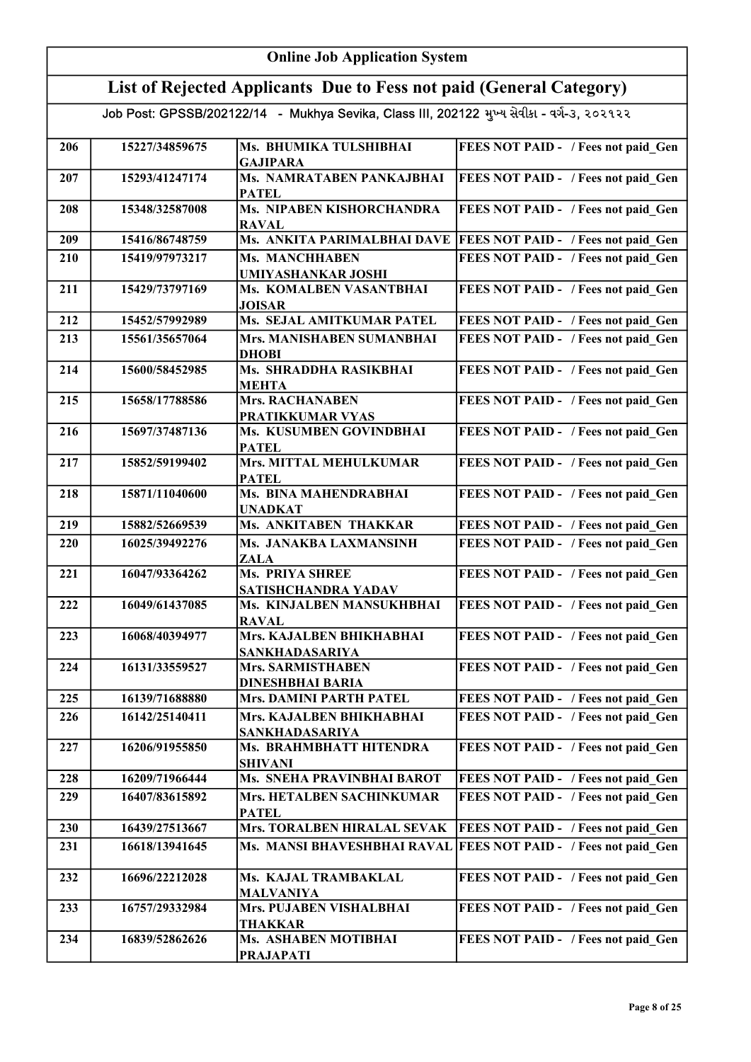|     | <b>Online Job Application System</b>                                                       |                                                     |                                                                  |  |
|-----|--------------------------------------------------------------------------------------------|-----------------------------------------------------|------------------------------------------------------------------|--|
|     | List of Rejected Applicants Due to Fess not paid (General Category)                        |                                                     |                                                                  |  |
|     | Job Post: GPSSB/202122/14 - Mukhya Sevika, Class III, 202122 મુખ્ય સેવીકા - વર્ગ-૩, ૨૦૨૧૨૨ |                                                     |                                                                  |  |
| 206 | 15227/34859675                                                                             | Ms. BHUMIKA TULSHIBHAI<br><b>GAJIPARA</b>           | FEES NOT PAID - / Fees not paid Gen                              |  |
| 207 | 15293/41247174                                                                             | Ms. NAMRATABEN PANKAJBHAI<br><b>PATEL</b>           | <b>FEES NOT PAID - / Fees not paid Gen</b>                       |  |
| 208 | 15348/32587008                                                                             | Ms. NIPABEN KISHORCHANDRA<br><b>RAVAL</b>           | FEES NOT PAID - / Fees not paid Gen                              |  |
| 209 | 15416/86748759                                                                             |                                                     | Ms. ANKITA PARIMALBHAI DAVE  FEES NOT PAID - / Fees not paid Gen |  |
| 210 | 15419/97973217                                                                             | Ms. MANCHHABEN<br><b>UMIYASHANKAR JOSHI</b>         | FEES NOT PAID - / Fees not paid Gen                              |  |
| 211 | 15429/73797169                                                                             | Ms. KOMALBEN VASANTBHAI<br><b>JOISAR</b>            | FEES NOT PAID - / Fees not paid_Gen                              |  |
| 212 | 15452/57992989                                                                             | Ms. SEJAL AMITKUMAR PATEL                           | FEES NOT PAID - / Fees not paid Gen                              |  |
| 213 | 15561/35657064                                                                             | Mrs. MANISHABEN SUMANBHAI<br><b>DHOBI</b>           | FEES NOT PAID - / Fees not paid Gen                              |  |
| 214 | 15600/58452985                                                                             | Ms. SHRADDHA RASIKBHAI<br><b>MEHTA</b>              | FEES NOT PAID - / Fees not paid_Gen                              |  |
| 215 | 15658/17788586                                                                             | <b>Mrs. RACHANABEN</b><br>PRATIKKUMAR VYAS          | FEES NOT PAID - / Fees not paid_Gen                              |  |
| 216 | 15697/37487136                                                                             | Ms. KUSUMBEN GOVINDBHAI<br><b>PATEL</b>             | FEES NOT PAID - / Fees not paid_Gen                              |  |
| 217 | 15852/59199402                                                                             | Mrs. MITTAL MEHULKUMAR<br><b>PATEL</b>              | FEES NOT PAID - / Fees not paid Gen                              |  |
| 218 | 15871/11040600                                                                             | Ms. BINA MAHENDRABHAI<br><b>UNADKAT</b>             | FEES NOT PAID - / Fees not paid_Gen                              |  |
| 219 | 15882/52669539                                                                             | Ms. ANKITABEN THAKKAR                               | FEES NOT PAID - / Fees not paid Gen                              |  |
| 220 | 16025/39492276                                                                             | Ms. JANAKBA LAXMANSINH<br><b>ZALA</b>               | FEES NOT PAID - / Fees not paid Gen                              |  |
| 221 | 16047/93364262                                                                             | <b>Ms. PRIYA SHREE</b><br>SATISHCHANDRA YADAV       | FEES NOT PAID - / Fees not paid Gen                              |  |
| 222 | 16049/61437085                                                                             | Ms. KINJALBEN MANSUKHBHAI<br><b>RAVAL</b>           | FEES NOT PAID - / Fees not paid Gen                              |  |
| 223 | 16068/40394977                                                                             | Mrs. KAJALBEN BHIKHABHAI<br>SANKHADASARIYA          | FEES NOT PAID - / Fees not paid Gen                              |  |
| 224 | 16131/33559527                                                                             | <b>Mrs. SARMISTHABEN</b><br><b>DINESHBHAI BARIA</b> | FEES NOT PAID - / Fees not paid Gen                              |  |
| 225 | 16139/71688880                                                                             | Mrs. DAMINI PARTH PATEL                             | FEES NOT PAID - / Fees not paid Gen                              |  |
| 226 | 16142/25140411                                                                             | Mrs. KAJALBEN BHIKHABHAI<br>SANKHADASARIYA          | FEES NOT PAID - / Fees not paid Gen                              |  |
| 227 | 16206/91955850                                                                             | Ms. BRAHMBHATT HITENDRA<br>SHIVANI                  | FEES NOT PAID - / Fees not paid Gen                              |  |
| 228 | 16209/71966444                                                                             | Ms. SNEHA PRAVINBHAI BAROT                          | FEES NOT PAID - / Fees not paid Gen                              |  |
| 229 | 16407/83615892                                                                             | Mrs. HETALBEN SACHINKUMAR<br><b>PATEL</b>           | FEES NOT PAID - / Fees not paid Gen                              |  |
| 230 | 16439/27513667                                                                             | Mrs. TORALBEN HIRALAL SEVAK                         | <b>FEES NOT PAID - / Fees not paid Gen</b>                       |  |
| 231 | 16618/13941645                                                                             | Ms. MANSI BHAVESHBHAI RAVAL                         | <b>FEES NOT PAID - / Fees not paid Gen</b>                       |  |
| 232 | 16696/22212028                                                                             | Ms. KAJAL TRAMBAKLAL<br><b>MALVANIYA</b>            | FEES NOT PAID - / Fees not paid Gen                              |  |
| 233 | 16757/29332984                                                                             | Mrs. PUJABEN VISHALBHAI<br>THAKKAR                  | FEES NOT PAID - / Fees not paid_Gen                              |  |
| 234 | 16839/52862626                                                                             | Ms. ASHABEN MOTIBHAI<br><b>PRAJAPATI</b>            | FEES NOT PAID - / Fees not paid Gen                              |  |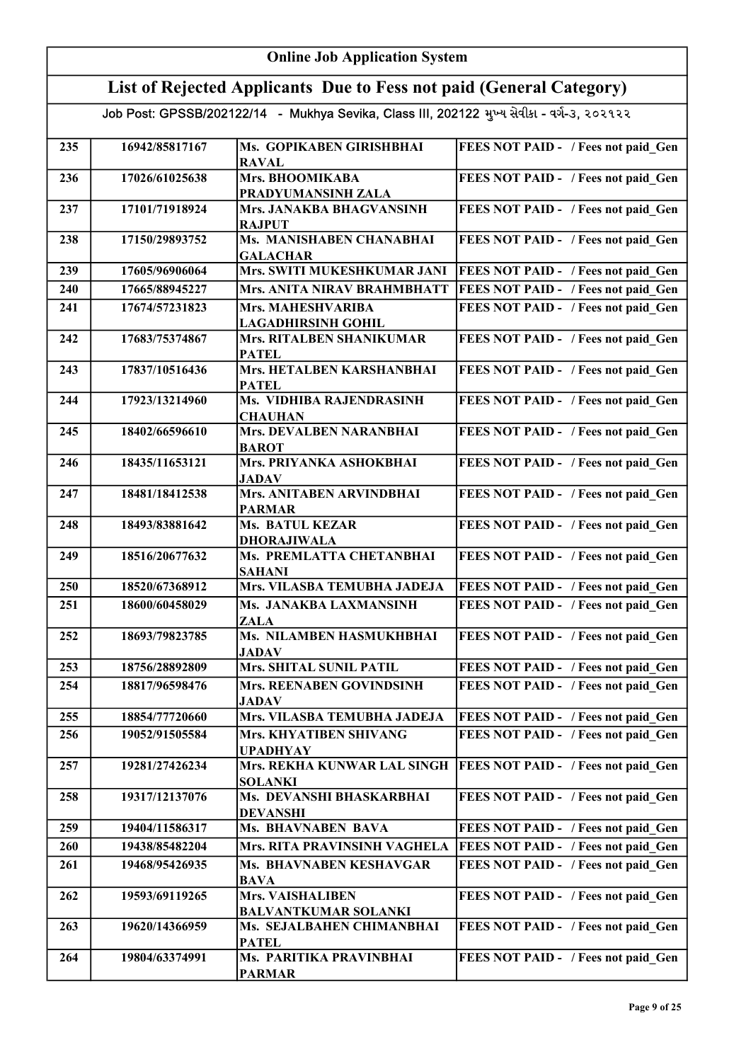|     | <b>Online Job Application System</b>                                                       |                                                        |                                            |  |
|-----|--------------------------------------------------------------------------------------------|--------------------------------------------------------|--------------------------------------------|--|
|     | List of Rejected Applicants Due to Fess not paid (General Category)                        |                                                        |                                            |  |
|     | Job Post: GPSSB/202122/14 - Mukhya Sevika, Class III, 202122 મુખ્ય સેવીકા - વર્ગ-૩, ૨૦૨૧૨૨ |                                                        |                                            |  |
| 235 | 16942/85817167                                                                             | Ms. GOPIKABEN GIRISHBHAI<br><b>RAVAL</b>               | FEES NOT PAID - / Fees not paid Gen        |  |
| 236 | 17026/61025638                                                                             | Mrs. BHOOMIKABA<br>PRADYUMANSINH ZALA                  | FEES NOT PAID - / Fees not paid Gen        |  |
| 237 | 17101/71918924                                                                             | Mrs. JANAKBA BHAGVANSINH<br><b>RAJPUT</b>              | FEES NOT PAID - / Fees not paid Gen        |  |
| 238 | 17150/29893752                                                                             | Ms. MANISHABEN CHANABHAI<br><b>GALACHAR</b>            | FEES NOT PAID - / Fees not paid Gen        |  |
| 239 | 17605/96906064                                                                             | Mrs. SWITI MUKESHKUMAR JANI                            | FEES NOT PAID - / Fees not paid Gen        |  |
| 240 | 17665/88945227                                                                             | Mrs. ANITA NIRAV BRAHMBHATT                            | FEES NOT PAID - / Fees not paid Gen        |  |
| 241 | 17674/57231823                                                                             | <b>Mrs. MAHESHVARIBA</b><br><b>LAGADHIRSINH GOHIL</b>  | FEES NOT PAID - / Fees not paid Gen        |  |
| 242 | 17683/75374867                                                                             | <b>Mrs. RITALBEN SHANIKUMAR</b><br><b>PATEL</b>        | FEES NOT PAID - / Fees not paid Gen        |  |
| 243 | 17837/10516436                                                                             | Mrs. HETALBEN KARSHANBHAI<br><b>PATEL</b>              | FEES NOT PAID - / Fees not paid_Gen        |  |
| 244 | 17923/13214960                                                                             | Ms. VIDHIBA RAJENDRASINH<br><b>CHAUHAN</b>             | FEES NOT PAID - / Fees not paid_Gen        |  |
| 245 | 18402/66596610                                                                             | Mrs. DEVALBEN NARANBHAI<br><b>BAROT</b>                | FEES NOT PAID - / Fees not paid_Gen        |  |
| 246 | 18435/11653121                                                                             | Mrs. PRIYANKA ASHOKBHAI<br>JADAV                       | FEES NOT PAID - / Fees not paid_Gen        |  |
| 247 | 18481/18412538                                                                             | Mrs. ANITABEN ARVINDBHAI<br><b>PARMAR</b>              | FEES NOT PAID - / Fees not paid_Gen        |  |
| 248 | 18493/83881642                                                                             | <b>Ms. BATUL KEZAR</b><br><b>DHORAJIWALA</b>           | FEES NOT PAID - / Fees not paid_Gen        |  |
| 249 | 18516/20677632                                                                             | Ms. PREMLATTA CHETANBHAI<br><b>SAHANI</b>              | FEES NOT PAID - / Fees not paid_Gen        |  |
| 250 | 18520/67368912                                                                             | Mrs. VILASBA TEMUBHA JADEJA                            | FEES NOT PAID - / Fees not paid_Gen        |  |
| 251 | 18600/60458029                                                                             | Ms. JANAKBA LAXMANSINH<br><b>ZALA</b>                  | FEES NOT PAID - / Fees not paid Gen        |  |
| 252 | 18693/79823785                                                                             | Ms. NILAMBEN HASMUKHBHAI<br><b>JADAV</b>               | FEES NOT PAID - / Fees not paid Gen        |  |
| 253 | 18756/28892809                                                                             | <b>Mrs. SHITAL SUNIL PATIL</b>                         | FEES NOT PAID - / Fees not paid Gen        |  |
| 254 | 18817/96598476                                                                             | Mrs. REENABEN GOVINDSINH<br><b>JADAV</b>               | FEES NOT PAID - / Fees not paid Gen        |  |
| 255 | 18854/77720660                                                                             | Mrs. VILASBA TEMUBHA JADEJA                            | <b>FEES NOT PAID - / Fees not paid Gen</b> |  |
| 256 | 19052/91505584                                                                             | Mrs. KHYATIBEN SHIVANG<br><b>UPADHYAY</b>              | FEES NOT PAID - / Fees not paid Gen        |  |
| 257 | 19281/27426234                                                                             | Mrs. REKHA KUNWAR LAL SINGH<br><b>SOLANKI</b>          | <b>FEES NOT PAID - / Fees not paid Gen</b> |  |
| 258 | 19317/12137076                                                                             | Ms. DEVANSHI BHASKARBHAI<br><b>DEVANSHI</b>            | FEES NOT PAID - / Fees not paid Gen        |  |
| 259 | 19404/11586317                                                                             | <b>Ms. BHAVNABEN BAVA</b>                              | FEES NOT PAID - / Fees not paid Gen        |  |
| 260 | 19438/85482204                                                                             | Mrs. RITA PRAVINSINH VAGHELA                           | <b>FEES NOT PAID - / Fees not paid Gen</b> |  |
| 261 | 19468/95426935                                                                             | Ms. BHAVNABEN KESHAVGAR<br><b>BAVA</b>                 | FEES NOT PAID - / Fees not paid_Gen        |  |
| 262 | 19593/69119265                                                                             | <b>Mrs. VAISHALIBEN</b><br><b>BALVANTKUMAR SOLANKI</b> | FEES NOT PAID - / Fees not paid_Gen        |  |
| 263 | 19620/14366959                                                                             | Ms. SEJALBAHEN CHIMANBHAI<br><b>PATEL</b>              | FEES NOT PAID - / Fees not paid Gen        |  |
| 264 | 19804/63374991                                                                             | <b>Ms. PARITIKA PRAVINBHAI</b><br><b>PARMAR</b>        | FEES NOT PAID - / Fees not paid_Gen        |  |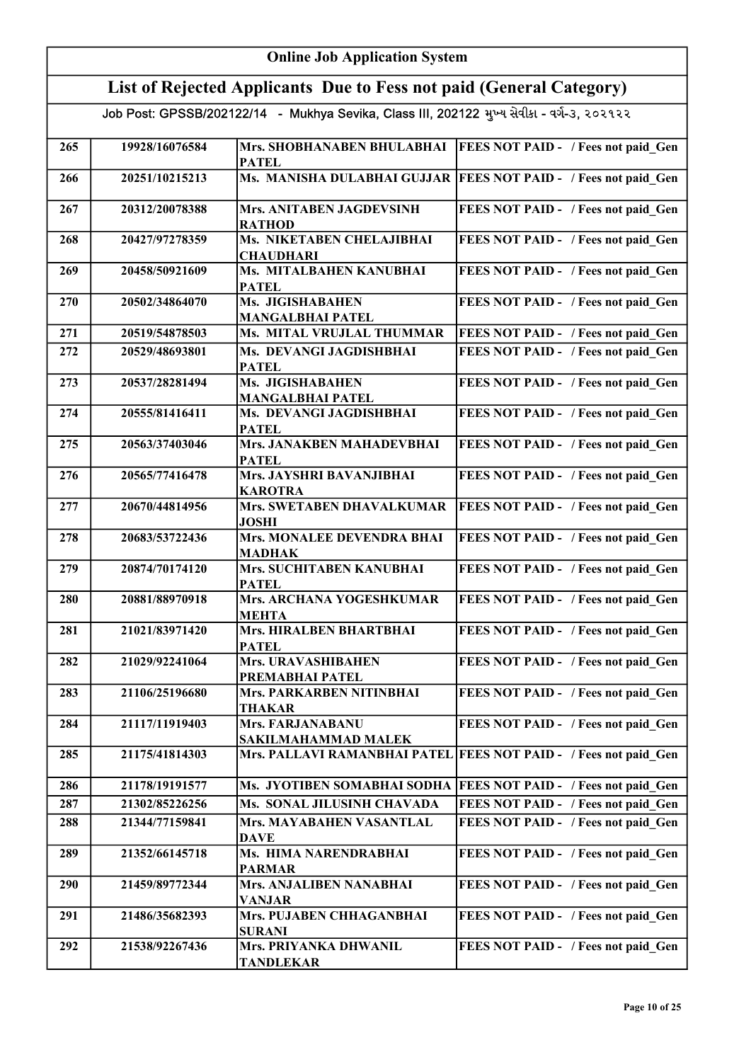|     | <b>Online Job Application System</b>                                                       |                                               |                                                                   |  |
|-----|--------------------------------------------------------------------------------------------|-----------------------------------------------|-------------------------------------------------------------------|--|
|     | List of Rejected Applicants Due to Fess not paid (General Category)                        |                                               |                                                                   |  |
|     | Job Post: GPSSB/202122/14 - Mukhya Sevika, Class III, 202122 મુખ્ય સેવીકા - વર્ગ-૩, ૨૦૨૧૨૨ |                                               |                                                                   |  |
| 265 | 19928/16076584                                                                             | Mrs. SHOBHANABEN BHULABHAI<br><b>PATEL</b>    | <b>FEES NOT PAID - / Fees not paid Gen</b>                        |  |
| 266 | 20251/10215213                                                                             |                                               | Ms. MANISHA DULABHAI GUJJAR   FEES NOT PAID - / Fees not paid Gen |  |
| 267 | 20312/20078388                                                                             | Mrs. ANITABEN JAGDEVSINH<br><b>RATHOD</b>     | FEES NOT PAID - / Fees not paid Gen                               |  |
| 268 | 20427/97278359                                                                             | Ms. NIKETABEN CHELAJIBHAI<br><b>CHAUDHARI</b> | FEES NOT PAID - / Fees not paid Gen                               |  |
| 269 | 20458/50921609                                                                             | Ms. MITALBAHEN KANUBHAI<br><b>PATEL</b>       | FEES NOT PAID - / Fees not paid Gen                               |  |
| 270 | 20502/34864070                                                                             | Ms. JIGISHABAHEN<br><b>MANGALBHAI PATEL</b>   | FEES NOT PAID - / Fees not paid Gen                               |  |
| 271 | 20519/54878503                                                                             | Ms. MITAL VRUJLAL THUMMAR                     | FEES NOT PAID - / Fees not paid Gen                               |  |
| 272 | 20529/48693801                                                                             | Ms. DEVANGI JAGDISHBHAI<br><b>PATEL</b>       | FEES NOT PAID - / Fees not paid Gen                               |  |
| 273 | 20537/28281494                                                                             | Ms. JIGISHABAHEN<br><b>MANGALBHAI PATEL</b>   | FEES NOT PAID - / Fees not paid_Gen                               |  |
| 274 | 20555/81416411                                                                             | Ms. DEVANGI JAGDISHBHAI<br><b>PATEL</b>       | FEES NOT PAID - / Fees not paid Gen                               |  |
| 275 | 20563/37403046                                                                             | Mrs. JANAKBEN MAHADEVBHAI<br><b>PATEL</b>     | FEES NOT PAID - / Fees not paid_Gen                               |  |
| 276 | 20565/77416478                                                                             | Mrs. JAYSHRI BAVANJIBHAI<br><b>KAROTRA</b>    | FEES NOT PAID - / Fees not paid_Gen                               |  |
| 277 | 20670/44814956                                                                             | Mrs. SWETABEN DHAVALKUMAR<br><b>JOSHI</b>     | FEES NOT PAID - / Fees not paid_Gen                               |  |
| 278 | 20683/53722436                                                                             | Mrs. MONALEE DEVENDRA BHAI<br><b>MADHAK</b>   | FEES NOT PAID - / Fees not paid_Gen                               |  |
| 279 | 20874/70174120                                                                             | Mrs. SUCHITABEN KANUBHAI<br><b>PATEL</b>      | FEES NOT PAID - / Fees not paid Gen                               |  |
| 280 | 20881/88970918                                                                             | Mrs. ARCHANA YOGESHKUMAR<br><b>MEHTA</b>      | FEES NOT PAID - / Fees not paid Gen                               |  |
| 281 | 21021/83971420                                                                             | Mrs. HIRALBEN BHARTBHAI<br><b>PATEL</b>       | FEES NOT PAID - / Fees not paid Gen                               |  |
| 282 | 21029/92241064                                                                             | Mrs. URAVASHIBAHEN<br>PREMABHAI PATEL         | FEES NOT PAID - / Fees not paid Gen                               |  |
| 283 | 21106/25196680                                                                             | Mrs. PARKARBEN NITINBHAI<br><b>THAKAR</b>     | FEES NOT PAID - / Fees not paid Gen                               |  |
| 284 | 21117/11919403                                                                             | Mrs. FARJANABANU<br>SAKILMAHAMMAD MALEK       | FEES NOT PAID - / Fees not paid Gen                               |  |
| 285 | 21175/41814303                                                                             |                                               | Mrs. PALLAVI RAMANBHAI PATEL FEES NOT PAID - / Fees not paid Gen  |  |
| 286 | 21178/19191577                                                                             |                                               | Ms. JYOTIBEN SOMABHAI SODHA   FEES NOT PAID - / Fees not paid Gen |  |
| 287 | 21302/85226256                                                                             | Ms. SONAL JILUSINH CHAVADA                    | FEES NOT PAID - / Fees not paid Gen                               |  |
| 288 | 21344/77159841                                                                             | Mrs. MAYABAHEN VASANTLAL<br><b>DAVE</b>       | FEES NOT PAID - / Fees not paid Gen                               |  |
| 289 | 21352/66145718                                                                             | Ms. HIMA NARENDRABHAI<br><b>PARMAR</b>        | FEES NOT PAID - / Fees not paid Gen                               |  |
| 290 | 21459/89772344                                                                             | Mrs. ANJALIBEN NANABHAI<br><b>VANJAR</b>      | FEES NOT PAID - / Fees not paid Gen                               |  |
| 291 | 21486/35682393                                                                             | Mrs. PUJABEN CHHAGANBHAI<br><b>SURANI</b>     | FEES NOT PAID - / Fees not paid Gen                               |  |
| 292 | 21538/92267436                                                                             | Mrs. PRIYANKA DHWANIL<br><b>TANDLEKAR</b>     | FEES NOT PAID - / Fees not paid Gen                               |  |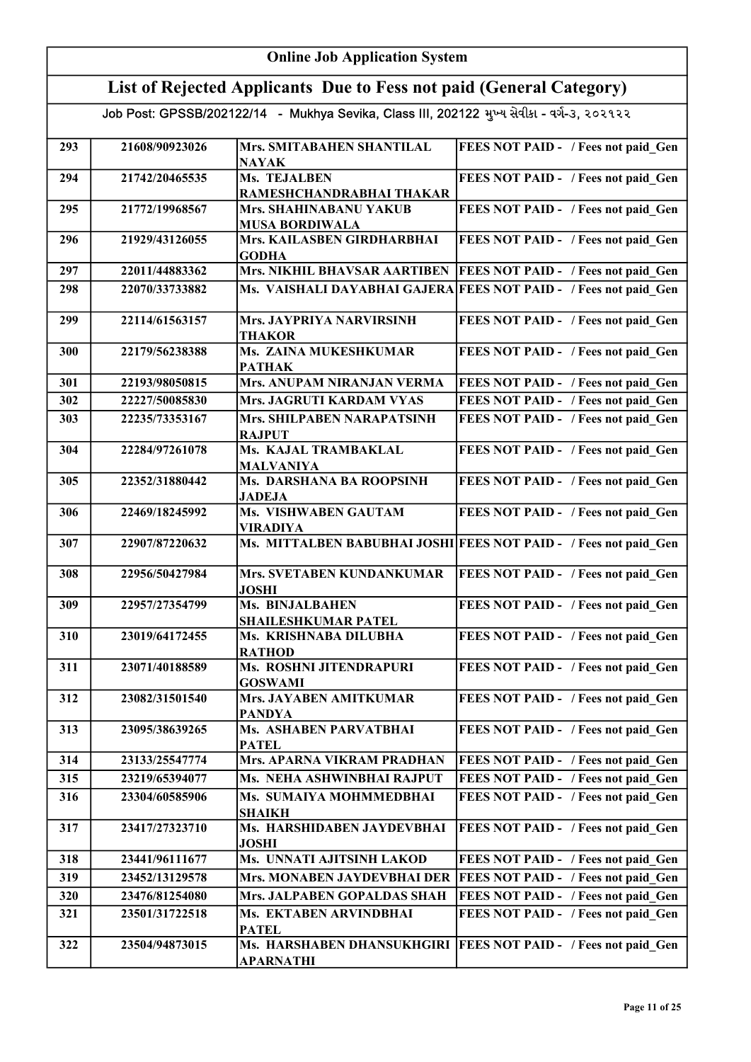|     | <b>Online Job Application System</b>                                                       |                                                 |                                                                  |  |
|-----|--------------------------------------------------------------------------------------------|-------------------------------------------------|------------------------------------------------------------------|--|
|     | List of Rejected Applicants Due to Fess not paid (General Category)                        |                                                 |                                                                  |  |
|     | Job Post: GPSSB/202122/14 - Mukhya Sevika, Class III, 202122 મુખ્ય સેવીકા - વર્ગ-૩, ૨૦૨૧૨૨ |                                                 |                                                                  |  |
| 293 | 21608/90923026                                                                             | Mrs. SMITABAHEN SHANTILAL<br><b>NAYAK</b>       | FEES NOT PAID - / Fees not paid Gen                              |  |
| 294 | 21742/20465535                                                                             | Ms. TEJALBEN<br>RAMESHCHANDRABHAI THAKAR        | FEES NOT PAID - / Fees not paid Gen                              |  |
| 295 | 21772/19968567                                                                             | Mrs. SHAHINABANU YAKUB<br><b>MUSA BORDIWALA</b> | FEES NOT PAID - / Fees not paid Gen                              |  |
| 296 | 21929/43126055                                                                             | Mrs. KAILASBEN GIRDHARBHAI<br><b>GODHA</b>      | FEES NOT PAID - / Fees not paid Gen                              |  |
| 297 | 22011/44883362                                                                             | Mrs. NIKHIL BHAVSAR AARTIBEN                    | <b>FEES NOT PAID - / Fees not paid Gen</b>                       |  |
| 298 | 22070/33733882                                                                             |                                                 | Ms. VAISHALI DAYABHAI GAJERA FEES NOT PAID - / Fees not paid Gen |  |
| 299 | 22114/61563157                                                                             | Mrs. JAYPRIYA NARVIRSINH<br><b>THAKOR</b>       | FEES NOT PAID - / Fees not paid Gen                              |  |
| 300 | 22179/56238388                                                                             | Ms. ZAINA MUKESHKUMAR<br><b>PATHAK</b>          | FEES NOT PAID - / Fees not paid Gen                              |  |
| 301 | 22193/98050815                                                                             | <b>Mrs. ANUPAM NIRANJAN VERMA</b>               | FEES NOT PAID - / Fees not paid Gen                              |  |
| 302 | 22227/50085830                                                                             | Mrs. JAGRUTI KARDAM VYAS                        | FEES NOT PAID - / Fees not paid Gen                              |  |
| 303 | 22235/73353167                                                                             | Mrs. SHILPABEN NARAPATSINH<br><b>RAJPUT</b>     | FEES NOT PAID - / Fees not paid Gen                              |  |
| 304 | 22284/97261078                                                                             | Ms. KAJAL TRAMBAKLAL<br><b>MALVANIYA</b>        | FEES NOT PAID - / Fees not paid Gen                              |  |
| 305 | 22352/31880442                                                                             | Ms. DARSHANA BA ROOPSINH<br><b>JADEJA</b>       | FEES NOT PAID - / Fees not paid Gen                              |  |
| 306 | 22469/18245992                                                                             | <b>Ms. VISHWABEN GAUTAM</b><br><b>VIRADIYA</b>  | FEES NOT PAID - / Fees not paid Gen                              |  |
| 307 | 22907/87220632                                                                             |                                                 | Ms. MITTALBEN BABUBHAI JOSHI FEES NOT PAID - / Fees not paid Gen |  |
| 308 | 22956/50427984                                                                             | Mrs. SVETABEN KUNDANKUMAR<br><b>JOSHI</b>       | FEES NOT PAID - / Fees not paid Gen                              |  |
| 309 | 22957/27354799                                                                             | Ms. BINJALBAHEN<br><b>SHAILESHKUMAR PATEL</b>   | FEES NOT PAID - / Fees not paid Gen                              |  |
| 310 | 23019/64172455                                                                             | Ms. KRISHNABA DILUBHA<br><b>RATHOD</b>          | FEES NOT PAID - / Fees not paid Gen                              |  |
| 311 | 23071/40188589                                                                             | Ms. ROSHNI JITENDRAPURI<br><b>GOSWAMI</b>       | FEES NOT PAID - / Fees not paid_Gen                              |  |
| 312 | 23082/31501540                                                                             | Mrs. JAYABEN AMITKUMAR<br><b>PANDYA</b>         | FEES NOT PAID - / Fees not paid Gen                              |  |
| 313 | 23095/38639265                                                                             | Ms. ASHABEN PARVATBHAI<br><b>PATEL</b>          | FEES NOT PAID - / Fees not paid_Gen                              |  |
| 314 | 23133/25547774                                                                             | Mrs. APARNA VIKRAM PRADHAN                      | FEES NOT PAID - / Fees not paid Gen                              |  |
| 315 | 23219/65394077                                                                             | Ms. NEHA ASHWINBHAI RAJPUT                      | FEES NOT PAID - / Fees not paid Gen                              |  |
| 316 | 23304/60585906                                                                             | Ms. SUMAIYA MOHMMEDBHAI<br><b>SHAIKH</b>        | FEES NOT PAID - / Fees not paid Gen                              |  |
| 317 | 23417/27323710                                                                             | Ms. HARSHIDABEN JAYDEVBHAI<br><b>JOSHI</b>      | FEES NOT PAID - / Fees not paid Gen                              |  |
| 318 | 23441/96111677                                                                             | Ms. UNNATI AJITSINH LAKOD                       | FEES NOT PAID - / Fees not paid Gen                              |  |
| 319 | 23452/13129578                                                                             | Mrs. MONABEN JAYDEVBHAI DER                     | <b>FEES NOT PAID - / Fees not paid Gen</b>                       |  |
| 320 | 23476/81254080                                                                             | Mrs. JALPABEN GOPALDAS SHAH                     | FEES NOT PAID - / Fees not paid Gen                              |  |
| 321 | 23501/31722518                                                                             | Ms. EKTABEN ARVINDBHAI<br><b>PATEL</b>          | FEES NOT PAID - / Fees not paid Gen                              |  |
| 322 | 23504/94873015                                                                             | Ms. HARSHABEN DHANSUKHGIRI<br><b>APARNATHI</b>  | <b>FEES NOT PAID - / Fees not paid Gen</b>                       |  |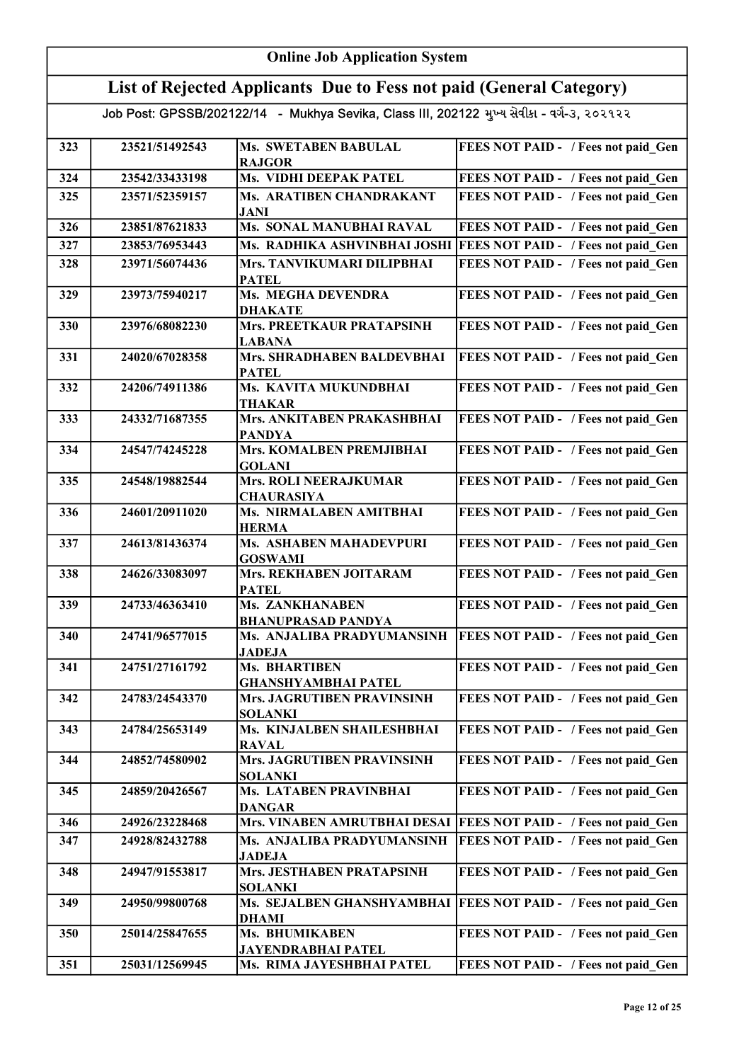|     | <b>Online Job Application System</b>                                                       |                                                   |                                            |  |
|-----|--------------------------------------------------------------------------------------------|---------------------------------------------------|--------------------------------------------|--|
|     | List of Rejected Applicants Due to Fess not paid (General Category)                        |                                                   |                                            |  |
|     | Job Post: GPSSB/202122/14 - Mukhya Sevika, Class III, 202122 મુખ્ય સેવીકા - વર્ગ-૩, ૨૦૨૧૨૨ |                                                   |                                            |  |
| 323 | 23521/51492543                                                                             | <b>Ms. SWETABEN BABULAL</b><br><b>RAJGOR</b>      | FEES NOT PAID - / Fees not paid Gen        |  |
| 324 | 23542/33433198                                                                             | Ms. VIDHI DEEPAK PATEL                            | FEES NOT PAID - / Fees not paid Gen        |  |
| 325 | 23571/52359157                                                                             | Ms. ARATIBEN CHANDRAKANT<br><b>JANI</b>           | FEES NOT PAID - / Fees not paid Gen        |  |
| 326 | 23851/87621833                                                                             | Ms. SONAL MANUBHAI RAVAL                          | FEES NOT PAID - / Fees not paid Gen        |  |
| 327 | 23853/76953443                                                                             | Ms. RADHIKA ASHVINBHAI JOSHI                      | <b>FEES NOT PAID - / Fees not paid Gen</b> |  |
| 328 | 23971/56074436                                                                             | Mrs. TANVIKUMARI DILIPBHAI<br><b>PATEL</b>        | FEES NOT PAID - / Fees not paid_Gen        |  |
| 329 | 23973/75940217                                                                             | Ms. MEGHA DEVENDRA<br><b>DHAKATE</b>              | FEES NOT PAID - / Fees not paid_Gen        |  |
| 330 | 23976/68082230                                                                             | Mrs. PREETKAUR PRATAPSINH<br><b>LABANA</b>        | FEES NOT PAID - / Fees not paid Gen        |  |
| 331 | 24020/67028358                                                                             | Mrs. SHRADHABEN BALDEVBHAI<br><b>PATEL</b>        | FEES NOT PAID - / Fees not paid Gen        |  |
| 332 | 24206/74911386                                                                             | Ms. KAVITA MUKUNDBHAI<br><b>THAKAR</b>            | FEES NOT PAID - / Fees not paid Gen        |  |
| 333 | 24332/71687355                                                                             | Mrs. ANKITABEN PRAKASHBHAI<br><b>PANDYA</b>       | FEES NOT PAID - / Fees not paid Gen        |  |
| 334 | 24547/74245228                                                                             | Mrs. KOMALBEN PREMJIBHAI<br><b>GOLANI</b>         | FEES NOT PAID - / Fees not paid Gen        |  |
| 335 | 24548/19882544                                                                             | <b>Mrs. ROLI NEERAJKUMAR</b><br><b>CHAURASIYA</b> | FEES NOT PAID - / Fees not paid Gen        |  |
| 336 | 24601/20911020                                                                             | Ms. NIRMALABEN AMITBHAI<br><b>HERMA</b>           | FEES NOT PAID - / Fees not paid Gen        |  |
| 337 | 24613/81436374                                                                             | Ms. ASHABEN MAHADEVPURI<br><b>GOSWAMI</b>         | FEES NOT PAID - / Fees not paid Gen        |  |
| 338 | 24626/33083097                                                                             | Mrs. REKHABEN JOITARAM<br><b>PATEL</b>            | FEES NOT PAID - / Fees not paid Gen        |  |
| 339 | 24733/46363410                                                                             | Ms. ZANKHANABEN<br><b>BHANUPRASAD PANDYA</b>      | FEES NOT PAID - / Fees not paid_Gen        |  |
| 340 | 24741/96577015                                                                             | Ms. ANJALIBA PRADYUMANSINH<br><b>JADEJA</b>       | <b>FEES NOT PAID - / Fees not paid Gen</b> |  |
| 341 | 24751/27161792                                                                             | Ms. BHARTIBEN<br><b>GHANSHYAMBHAI PATEL</b>       | FEES NOT PAID - / Fees not paid Gen        |  |
| 342 | 24783/24543370                                                                             | Mrs. JAGRUTIBEN PRAVINSINH<br><b>SOLANKI</b>      | FEES NOT PAID - / Fees not paid Gen        |  |
| 343 | 24784/25653149                                                                             | Ms. KINJALBEN SHAILESHBHAI<br><b>RAVAL</b>        | FEES NOT PAID - / Fees not paid Gen        |  |
| 344 | 24852/74580902                                                                             | Mrs. JAGRUTIBEN PRAVINSINH<br><b>SOLANKI</b>      | FEES NOT PAID - / Fees not paid Gen        |  |
| 345 | 24859/20426567                                                                             | Ms. LATABEN PRAVINBHAI<br><b>DANGAR</b>           | FEES NOT PAID - / Fees not paid Gen        |  |
| 346 | 24926/23228468                                                                             | Mrs. VINABEN AMRUTBHAI DESAI                      | <b>FEES NOT PAID - / Fees not paid Gen</b> |  |
| 347 | 24928/82432788                                                                             | Ms. ANJALIBA PRADYUMANSINH<br><b>JADEJA</b>       | <b>FEES NOT PAID - / Fees not paid Gen</b> |  |
| 348 | 24947/91553817                                                                             | Mrs. JESTHABEN PRATAPSINH<br><b>SOLANKI</b>       | FEES NOT PAID - / Fees not paid Gen        |  |
| 349 | 24950/99800768                                                                             | Ms. SEJALBEN GHANSHYAMBHAI<br><b>DHAMI</b>        | <b>FEES NOT PAID - / Fees not paid Gen</b> |  |
| 350 | 25014/25847655                                                                             | Ms. BHUMIKABEN<br><b>JAYENDRABHAI PATEL</b>       | FEES NOT PAID - / Fees not paid Gen        |  |
| 351 | 25031/12569945                                                                             | Ms. RIMA JAYESHBHAI PATEL                         | FEES NOT PAID - / Fees not paid Gen        |  |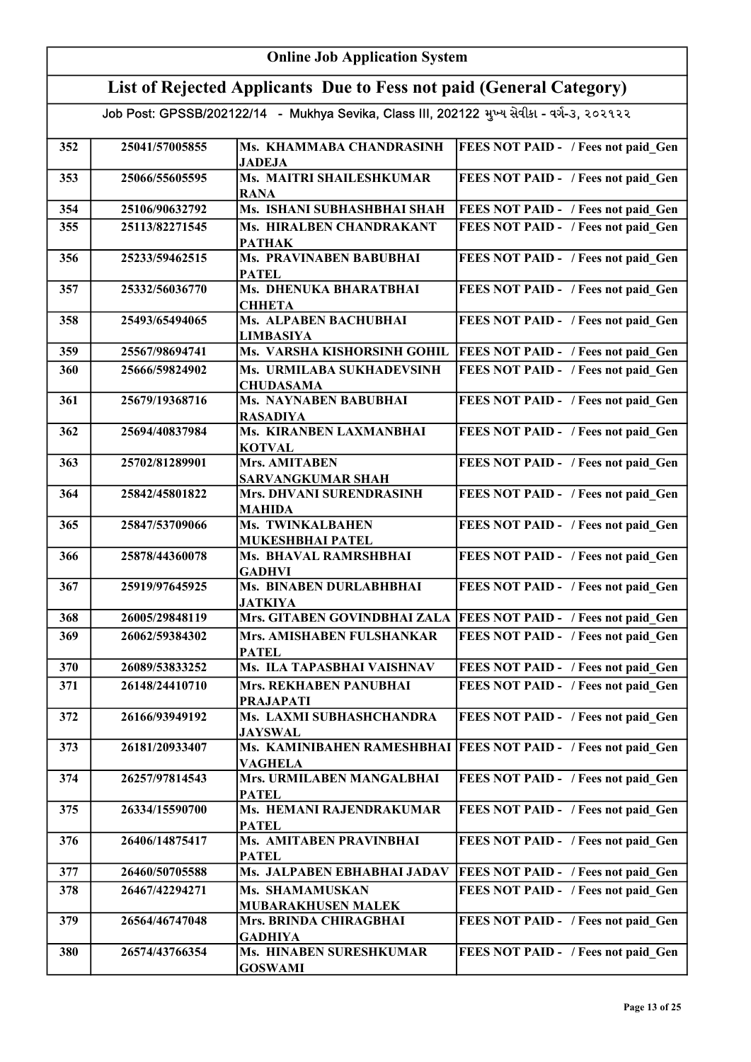|     | <b>Online Job Application System</b>                                                       |                                                                     |                                                                    |  |
|-----|--------------------------------------------------------------------------------------------|---------------------------------------------------------------------|--------------------------------------------------------------------|--|
|     |                                                                                            | List of Rejected Applicants Due to Fess not paid (General Category) |                                                                    |  |
|     | Job Post: GPSSB/202122/14 - Mukhya Sevika, Class III, 202122 મુખ્ય સેવીકા - વર્ગ-૩, ૨૦૨૧૨૨ |                                                                     |                                                                    |  |
| 352 | 25041/57005855                                                                             | Ms. KHAMMABA CHANDRASINH<br><b>JADEJA</b>                           | <b>FEES NOT PAID - / Fees not paid Gen</b>                         |  |
| 353 | 25066/55605595                                                                             | Ms. MAITRI SHAILESHKUMAR<br><b>RANA</b>                             | FEES NOT PAID - / Fees not paid Gen                                |  |
| 354 | 25106/90632792                                                                             | Ms. ISHANI SUBHASHBHAI SHAH                                         | FEES NOT PAID - / Fees not paid Gen                                |  |
| 355 | 25113/82271545                                                                             | Ms. HIRALBEN CHANDRAKANT<br><b>PATHAK</b>                           | FEES NOT PAID - / Fees not paid Gen                                |  |
| 356 | 25233/59462515                                                                             | Ms. PRAVINABEN BABUBHAI<br><b>PATEL</b>                             | FEES NOT PAID - / Fees not paid Gen                                |  |
| 357 | 25332/56036770                                                                             | Ms. DHENUKA BHARATBHAI<br><b>CHHETA</b>                             | FEES NOT PAID - / Fees not paid_Gen                                |  |
| 358 | 25493/65494065                                                                             | <b>Ms. ALPABEN BACHUBHAI</b><br><b>LIMBASIYA</b>                    | FEES NOT PAID - / Fees not paid Gen                                |  |
| 359 | 25567/98694741                                                                             | Ms. VARSHA KISHORSINH GOHIL                                         | <b>FEES NOT PAID - / Fees not paid Gen</b>                         |  |
| 360 | 25666/59824902                                                                             | Ms. URMILABA SUKHADEVSINH<br><b>CHUDASAMA</b>                       | FEES NOT PAID - / Fees not paid Gen                                |  |
| 361 | 25679/19368716                                                                             | Ms. NAYNABEN BABUBHAI<br><b>RASADIYA</b>                            | FEES NOT PAID - / Fees not paid Gen                                |  |
| 362 | 25694/40837984                                                                             | Ms. KIRANBEN LAXMANBHAI<br><b>KOTVAL</b>                            | FEES NOT PAID - / Fees not paid_Gen                                |  |
| 363 | 25702/81289901                                                                             | Mrs. AMITABEN<br><b>SARVANGKUMAR SHAH</b>                           | FEES NOT PAID - / Fees not paid_Gen                                |  |
| 364 | 25842/45801822                                                                             | Mrs. DHVANI SURENDRASINH<br><b>MAHIDA</b>                           | FEES NOT PAID - / Fees not paid_Gen                                |  |
| 365 | 25847/53709066                                                                             | Ms. TWINKALBAHEN<br>MUKESHBHAI PATEL                                | FEES NOT PAID - / Fees not paid Gen                                |  |
| 366 | 25878/44360078                                                                             | Ms. BHAVAL RAMRSHBHAI<br><b>GADHVI</b>                              | FEES NOT PAID - / Fees not paid Gen                                |  |
| 367 | 25919/97645925                                                                             | Ms. BINABEN DURLABHBHAI<br><b>JATKIYA</b>                           | FEES NOT PAID - / Fees not paid Gen                                |  |
| 368 | 26005/29848119                                                                             |                                                                     | Mrs. GITABEN GOVINDBHAI ZALA   FEES NOT PAID - / Fees not paid Gen |  |
| 369 | 26062/59384302                                                                             | Mrs. AMISHABEN FULSHANKAR<br><b>PATEL</b>                           | FEES NOT PAID - / Fees not paid Gen                                |  |
| 370 | 26089/53833252                                                                             | Ms. ILA TAPASBHAI VAISHNAV                                          | FEES NOT PAID - / Fees not paid Gen                                |  |
| 371 | 26148/24410710                                                                             | <b>Mrs. REKHABEN PANUBHAI</b><br><b>PRAJAPATI</b>                   | FEES NOT PAID - / Fees not paid Gen                                |  |
| 372 | 26166/93949192                                                                             | Ms. LAXMI SUBHASHCHANDRA<br><b>JAYSWAL</b>                          | FEES NOT PAID - / Fees not paid Gen                                |  |
| 373 | 26181/20933407                                                                             | <b>VAGHELA</b>                                                      | Ms. KAMINIBAHEN RAMESHBHAI   FEES NOT PAID - / Fees not paid Gen   |  |
| 374 | 26257/97814543                                                                             | Mrs. URMILABEN MANGALBHAI<br><b>PATEL</b>                           | FEES NOT PAID - / Fees not paid Gen                                |  |
| 375 | 26334/15590700                                                                             | Ms. HEMANI RAJENDRAKUMAR<br><b>PATEL</b>                            | FEES NOT PAID - / Fees not paid Gen                                |  |
| 376 | 26406/14875417                                                                             | Ms. AMITABEN PRAVINBHAI<br><b>PATEL</b>                             | FEES NOT PAID - / Fees not paid Gen                                |  |
| 377 | 26460/50705588                                                                             | Ms. JALPABEN EBHABHAI JADAV                                         | <b>FEES NOT PAID - / Fees not paid Gen</b>                         |  |
| 378 | 26467/42294271                                                                             | Ms. SHAMAMUSKAN<br><b>MUBARAKHUSEN MALEK</b>                        | FEES NOT PAID - / Fees not paid Gen                                |  |
| 379 | 26564/46747048                                                                             | Mrs. BRINDA CHIRAGBHAI<br><b>GADHIYA</b>                            | FEES NOT PAID - / Fees not paid Gen                                |  |
| 380 | 26574/43766354                                                                             | Ms. HINABEN SURESHKUMAR<br><b>GOSWAMI</b>                           | FEES NOT PAID - / Fees not paid Gen                                |  |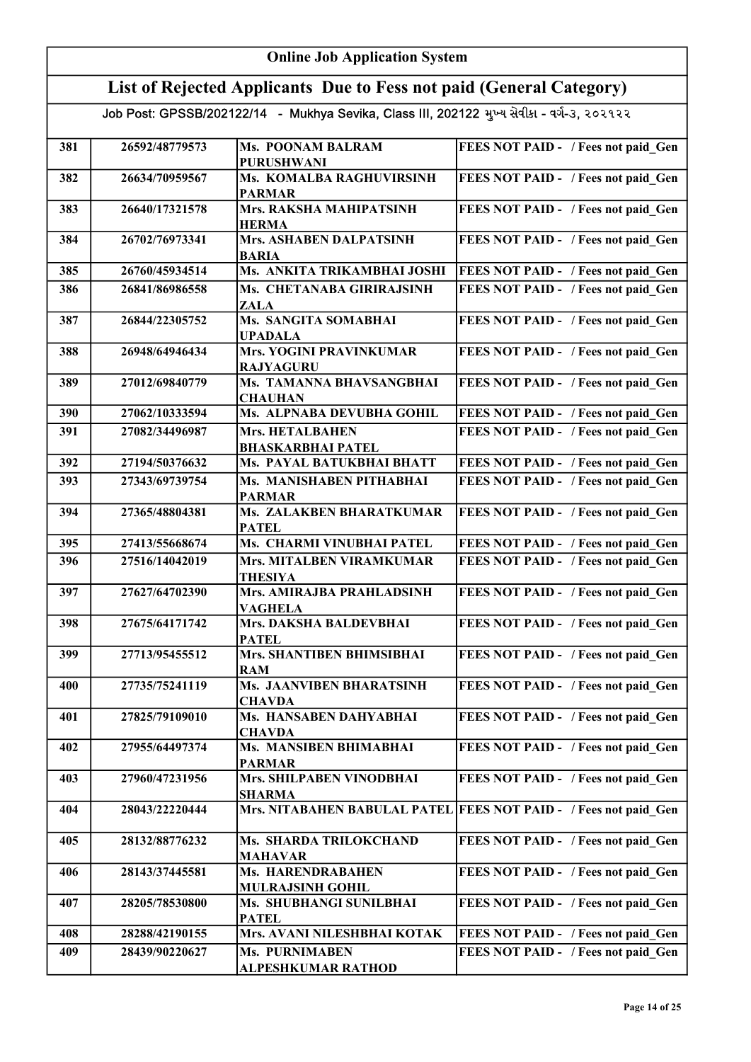|     | <b>Online Job Application System</b>                                |                                                                                            |                                                                  |
|-----|---------------------------------------------------------------------|--------------------------------------------------------------------------------------------|------------------------------------------------------------------|
|     | List of Rejected Applicants Due to Fess not paid (General Category) |                                                                                            |                                                                  |
|     |                                                                     | Job Post: GPSSB/202122/14 - Mukhya Sevika, Class III, 202122 મુખ્ય સેવીકા - વર્ગ-૩, ૨૦૨૧૨૨ |                                                                  |
| 381 | 26592/48779573                                                      | Ms. POONAM BALRAM<br><b>PURUSHWANI</b>                                                     | FEES NOT PAID - / Fees not paid_Gen                              |
| 382 | 26634/70959567                                                      | Ms. KOMALBA RAGHUVIRSINH<br><b>PARMAR</b>                                                  | FEES NOT PAID - / Fees not paid Gen                              |
| 383 | 26640/17321578                                                      | Mrs. RAKSHA MAHIPATSINH<br><b>HERMA</b>                                                    | FEES NOT PAID - / Fees not paid Gen                              |
| 384 | 26702/76973341                                                      | Mrs. ASHABEN DALPATSINH<br><b>BARIA</b>                                                    | FEES NOT PAID - / Fees not paid Gen                              |
| 385 | 26760/45934514                                                      | Ms. ANKITA TRIKAMBHAI JOSHI                                                                | <b>FEES NOT PAID - / Fees not paid Gen</b>                       |
| 386 | 26841/86986558                                                      | Ms. CHETANABA GIRIRAJSINH<br><b>ZALA</b>                                                   | FEES NOT PAID - / Fees not paid Gen                              |
| 387 | 26844/22305752                                                      | Ms. SANGITA SOMABHAI<br><b>UPADALA</b>                                                     | FEES NOT PAID - / Fees not paid Gen                              |
| 388 | 26948/64946434                                                      | <b>Mrs. YOGINI PRAVINKUMAR</b><br><b>RAJYAGURU</b>                                         | FEES NOT PAID - / Fees not paid_Gen                              |
| 389 | 27012/69840779                                                      | Ms. TAMANNA BHAVSANGBHAI<br><b>CHAUHAN</b>                                                 | FEES NOT PAID - / Fees not paid Gen                              |
| 390 | 27062/10333594                                                      | Ms. ALPNABA DEVUBHA GOHIL                                                                  | FEES NOT PAID - / Fees not paid Gen                              |
| 391 | 27082/34496987                                                      | <b>Mrs. HETALBAHEN</b><br><b>BHASKARBHAI PATEL</b>                                         | FEES NOT PAID - / Fees not paid Gen                              |
| 392 | 27194/50376632                                                      | Ms. PAYAL BATUKBHAI BHATT                                                                  | FEES NOT PAID - / Fees not paid Gen                              |
| 393 | 27343/69739754                                                      | Ms. MANISHABEN PITHABHAI<br><b>PARMAR</b>                                                  | FEES NOT PAID - / Fees not paid Gen                              |
| 394 | 27365/48804381                                                      | <b>Ms. ZALAKBEN BHARATKUMAR</b><br><b>PATEL</b>                                            | FEES NOT PAID - / Fees not paid Gen                              |
| 395 | 27413/55668674                                                      | Ms. CHARMI VINUBHAI PATEL                                                                  | FEES NOT PAID - / Fees not paid Gen                              |
| 396 | 27516/14042019                                                      | Mrs. MITALBEN VIRAMKUMAR<br><b>THESIYA</b>                                                 | FEES NOT PAID - / Fees not paid Gen                              |
| 397 | 27627/64702390                                                      | Mrs. AMIRAJBA PRAHLADSINH<br>VAGHELA                                                       | FEES NOT PAID - / Fees not paid Gen                              |
| 398 | 27675/64171742                                                      | Mrs. DAKSHA BALDEVBHAI<br><b>PATEL</b>                                                     | FEES NOT PAID - / Fees not paid Gen                              |
| 399 | 27713/95455512                                                      | Mrs. SHANTIBEN BHIMSIBHAI<br><b>RAM</b>                                                    | FEES NOT PAID - / Fees not paid Gen                              |
| 400 | 27735/75241119                                                      | Ms. JAANVIBEN BHARATSINH<br><b>CHAVDA</b>                                                  | FEES NOT PAID - / Fees not paid Gen                              |
| 401 | 27825/79109010                                                      | Ms. HANSABEN DAHYABHAI<br><b>CHAVDA</b>                                                    | FEES NOT PAID - / Fees not paid Gen                              |
| 402 | 27955/64497374                                                      | Ms. MANSIBEN BHIMABHAI<br><b>PARMAR</b>                                                    | FEES NOT PAID - / Fees not paid Gen                              |
| 403 | 27960/47231956                                                      | Mrs. SHILPABEN VINODBHAI<br><b>SHARMA</b>                                                  | FEES NOT PAID - / Fees not paid Gen                              |
| 404 | 28043/22220444                                                      |                                                                                            | Mrs. NITABAHEN BABULAL PATEL FEES NOT PAID - / Fees not paid Gen |
| 405 | 28132/88776232                                                      | Ms. SHARDA TRILOKCHAND<br><b>MAHAVAR</b>                                                   | FEES NOT PAID - / Fees not paid Gen                              |
| 406 | 28143/37445581                                                      | Ms. HARENDRABAHEN<br>MULRAJSINH GOHIL                                                      | FEES NOT PAID - / Fees not paid Gen                              |
| 407 | 28205/78530800                                                      | Ms. SHUBHANGI SUNILBHAI<br><b>PATEL</b>                                                    | FEES NOT PAID - / Fees not paid Gen                              |
| 408 | 28288/42190155                                                      | Mrs. AVANI NILESHBHAI KOTAK                                                                | FEES NOT PAID - / Fees not paid Gen                              |
| 409 | 28439/90220627                                                      | <b>Ms. PURNIMABEN</b><br><b>ALPESHKUMAR RATHOD</b>                                         | FEES NOT PAID - / Fees not paid Gen                              |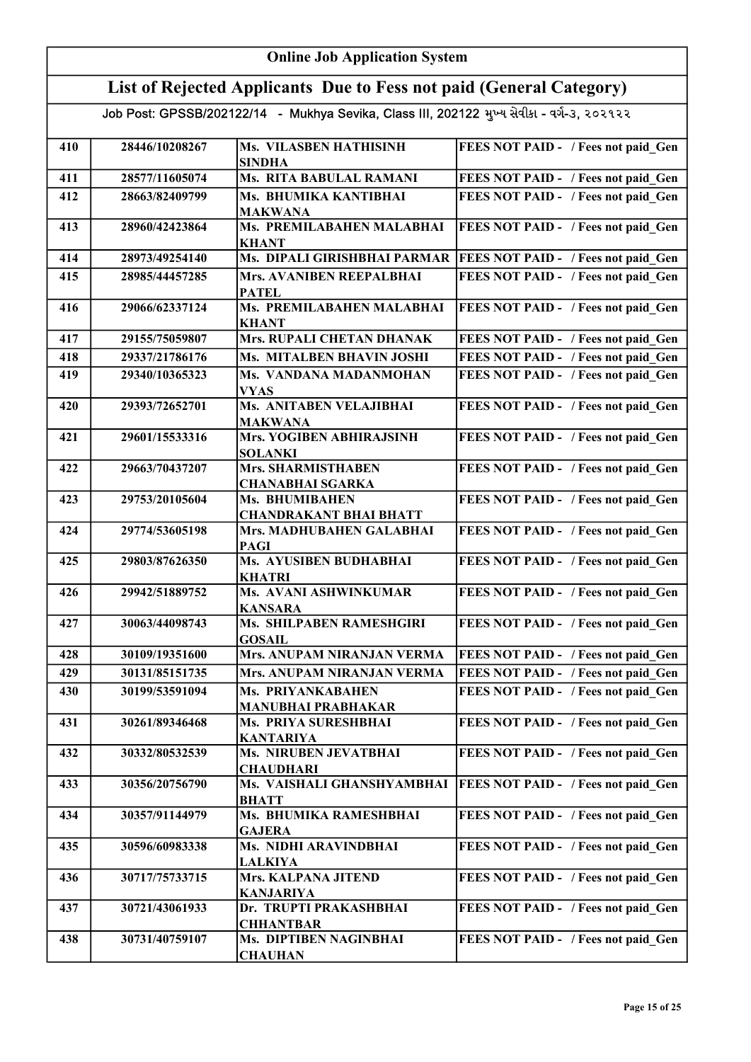| <b>Online Job Application System</b> |                |                                                                                            |                                            |
|--------------------------------------|----------------|--------------------------------------------------------------------------------------------|--------------------------------------------|
|                                      |                | List of Rejected Applicants Due to Fess not paid (General Category)                        |                                            |
|                                      |                | Job Post: GPSSB/202122/14 - Mukhya Sevika, Class III, 202122 મુખ્ય સેવીકા - વર્ગ-૩, ૨૦૨૧૨૨ |                                            |
| 410                                  | 28446/10208267 | <b>Ms. VILASBEN HATHISINH</b><br><b>SINDHA</b>                                             | FEES NOT PAID - / Fees not paid Gen        |
| 411                                  | 28577/11605074 | Ms. RITA BABULAL RAMANI                                                                    | FEES NOT PAID - / Fees not paid Gen        |
| 412                                  | 28663/82409799 | Ms. BHUMIKA KANTIBHAI<br><b>MAKWANA</b>                                                    | FEES NOT PAID - / Fees not paid Gen        |
| 413                                  | 28960/42423864 | Ms. PREMILABAHEN MALABHAI<br><b>KHANT</b>                                                  | FEES NOT PAID - / Fees not paid Gen        |
| 414                                  | 28973/49254140 | Ms. DIPALI GIRISHBHAI PARMAR                                                               | <b>FEES NOT PAID - / Fees not paid_Gen</b> |
| 415                                  | 28985/44457285 | Mrs. AVANIBEN REEPALBHAI<br><b>PATEL</b>                                                   | FEES NOT PAID - / Fees not paid_Gen        |
| 416                                  | 29066/62337124 | Ms. PREMILABAHEN MALABHAI<br><b>KHANT</b>                                                  | FEES NOT PAID - / Fees not paid_Gen        |
| 417                                  | 29155/75059807 | Mrs. RUPALI CHETAN DHANAK                                                                  | FEES NOT PAID - / Fees not paid Gen        |
| 418                                  | 29337/21786176 | Ms. MITALBEN BHAVIN JOSHI                                                                  | FEES NOT PAID - / Fees not paid Gen        |
| 419                                  | 29340/10365323 | Ms. VANDANA MADANMOHAN<br><b>VYAS</b>                                                      | FEES NOT PAID - / Fees not paid Gen        |
| 420                                  | 29393/72652701 | Ms. ANITABEN VELAJIBHAI<br><b>MAKWANA</b>                                                  | FEES NOT PAID - / Fees not paid Gen        |
| 421                                  | 29601/15533316 | Mrs. YOGIBEN ABHIRAJSINH<br><b>SOLANKI</b>                                                 | FEES NOT PAID - / Fees not paid Gen        |
| 422                                  | 29663/70437207 | Mrs. SHARMISTHABEN<br><b>CHANABHAI SGARKA</b>                                              | FEES NOT PAID - / Fees not paid Gen        |
| 423                                  | 29753/20105604 | Ms. BHUMIBAHEN<br><b>CHANDRAKANT BHAI BHATT</b>                                            | FEES NOT PAID - / Fees not paid Gen        |
| 424                                  | 29774/53605198 | Mrs. MADHUBAHEN GALABHAI<br><b>PAGI</b>                                                    | FEES NOT PAID - / Fees not paid_Gen        |
| 425                                  | 29803/87626350 | <b>Ms. AYUSIBEN BUDHABHAI</b><br><b>KHATRI</b>                                             | FEES NOT PAID - / Fees not paid Gen        |
| 426                                  | 29942/51889752 | Ms. AVANI ASHWINKUMAR<br><b>KANSARA</b>                                                    | FEES NOT PAID - / Fees not paid Gen        |
| 427                                  | 30063/44098743 | Ms. SHILPABEN RAMESHGIRI<br><b>GOSAIL</b>                                                  | FEES NOT PAID - / Fees not paid Gen        |
| 428                                  | 30109/19351600 | Mrs. ANUPAM NIRANJAN VERMA                                                                 | FEES NOT PAID - / Fees not paid_Gen        |
| 429                                  | 30131/85151735 | Mrs. ANUPAM NIRANJAN VERMA                                                                 | FEES NOT PAID - / Fees not paid Gen        |
| 430                                  | 30199/53591094 | Ms. PRIYANKABAHEN<br><b>MANUBHAI PRABHAKAR</b>                                             | FEES NOT PAID - / Fees not paid Gen        |
| 431                                  | 30261/89346468 | Ms. PRIYA SURESHBHAI<br><b>KANTARIYA</b>                                                   | FEES NOT PAID - / Fees not paid_Gen        |
| 432                                  | 30332/80532539 | Ms. NIRUBEN JEVATBHAI<br><b>CHAUDHARI</b>                                                  | FEES NOT PAID - / Fees not paid_Gen        |
| 433                                  | 30356/20756790 | Ms. VAISHALI GHANSHYAMBHAI<br><b>BHATT</b>                                                 | <b>FEES NOT PAID - / Fees not paid_Gen</b> |
| 434                                  | 30357/91144979 | Ms. BHUMIKA RAMESHBHAI<br><b>GAJERA</b>                                                    | FEES NOT PAID - / Fees not paid Gen        |
| 435                                  | 30596/60983338 | Ms. NIDHI ARAVINDBHAI<br><b>LALKIYA</b>                                                    | FEES NOT PAID - / Fees not paid_Gen        |
| 436                                  | 30717/75733715 | Mrs. KALPANA JITEND<br><b>KANJARIYA</b>                                                    | FEES NOT PAID - / Fees not paid_Gen        |
| 437                                  | 30721/43061933 | Dr. TRUPTI PRAKASHBHAI<br><b>CHHANTBAR</b>                                                 | FEES NOT PAID - / Fees not paid_Gen        |
| 438                                  | 30731/40759107 | Ms. DIPTIBEN NAGINBHAI<br><b>CHAUHAN</b>                                                   | FEES NOT PAID - / Fees not paid Gen        |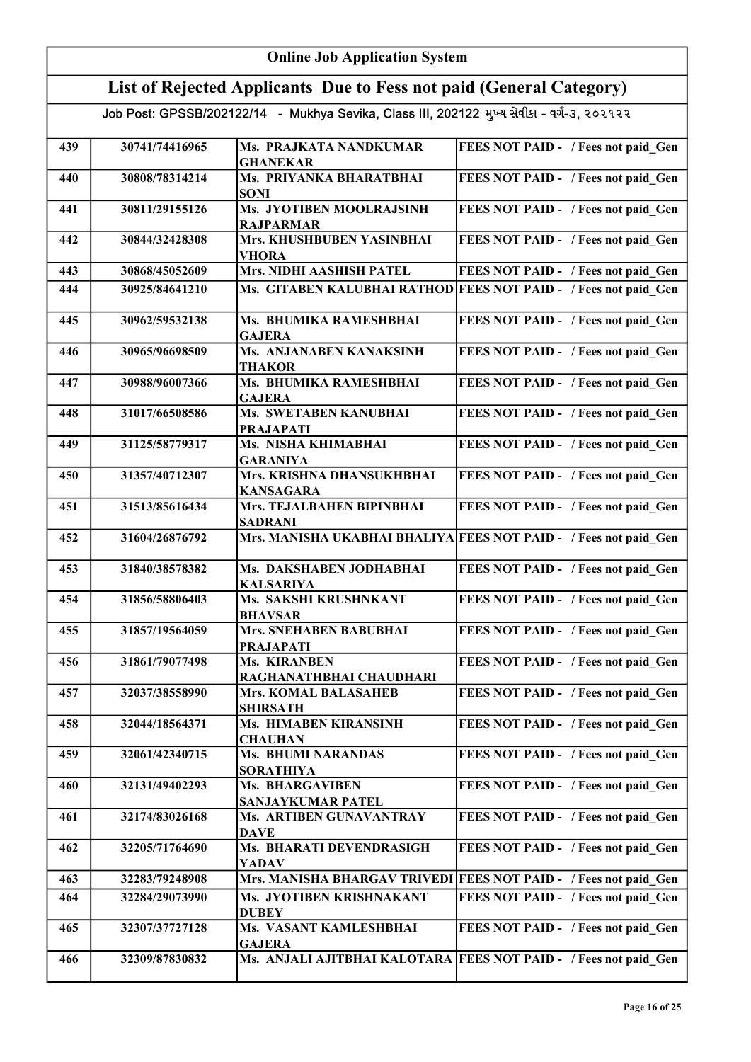|     | <b>Online Job Application System</b>                                                       |                                                  |                                                                  |  |
|-----|--------------------------------------------------------------------------------------------|--------------------------------------------------|------------------------------------------------------------------|--|
|     | List of Rejected Applicants Due to Fess not paid (General Category)                        |                                                  |                                                                  |  |
|     | Job Post: GPSSB/202122/14 - Mukhya Sevika, Class III, 202122 મુખ્ય સેવીકા - વર્ગ-૩, ૨૦૨૧૨૨ |                                                  |                                                                  |  |
| 439 | 30741/74416965                                                                             | Ms. PRAJKATA NANDKUMAR<br><b>GHANEKAR</b>        | FEES NOT PAID - / Fees not paid Gen                              |  |
| 440 | 30808/78314214                                                                             | Ms. PRIYANKA BHARATBHAI<br><b>SONI</b>           | FEES NOT PAID - / Fees not paid Gen                              |  |
| 441 | 30811/29155126                                                                             | Ms. JYOTIBEN MOOLRAJSINH<br><b>RAJPARMAR</b>     | FEES NOT PAID - / Fees not paid Gen                              |  |
| 442 | 30844/32428308                                                                             | Mrs. KHUSHBUBEN YASINBHAI<br><b>VHORA</b>        | FEES NOT PAID - / Fees not paid Gen                              |  |
| 443 | 30868/45052609                                                                             | <b>Mrs. NIDHI AASHISH PATEL</b>                  | FEES NOT PAID - / Fees not paid Gen                              |  |
| 444 | 30925/84641210                                                                             |                                                  | Ms. GITABEN KALUBHAI RATHOD FEES NOT PAID - / Fees not paid Gen  |  |
| 445 | 30962/59532138                                                                             | Ms. BHUMIKA RAMESHBHAI<br><b>GAJERA</b>          | FEES NOT PAID - / Fees not paid_Gen                              |  |
| 446 | 30965/96698509                                                                             | Ms. ANJANABEN KANAKSINH<br><b>THAKOR</b>         | FEES NOT PAID - / Fees not paid Gen                              |  |
| 447 | 30988/96007366                                                                             | Ms. BHUMIKA RAMESHBHAI<br><b>GAJERA</b>          | FEES NOT PAID - / Fees not paid_Gen                              |  |
| 448 | 31017/66508586                                                                             | <b>Ms. SWETABEN KANUBHAI</b><br><b>PRAJAPATI</b> | FEES NOT PAID - / Fees not paid_Gen                              |  |
| 449 | 31125/58779317                                                                             | Ms. NISHA KHIMABHAI<br><b>GARANIYA</b>           | FEES NOT PAID - / Fees not paid_Gen                              |  |
| 450 | 31357/40712307                                                                             | Mrs. KRISHNA DHANSUKHBHAI<br><b>KANSAGARA</b>    | FEES NOT PAID - / Fees not paid_Gen                              |  |
| 451 | 31513/85616434                                                                             | Mrs. TEJALBAHEN BIPINBHAI<br><b>SADRANI</b>      | FEES NOT PAID - / Fees not paid_Gen                              |  |
| 452 | 31604/26876792                                                                             |                                                  | Mrs. MANISHA UKABHAI BHALIYA FEES NOT PAID - / Fees not paid_Gen |  |
| 453 | 31840/38578382                                                                             | Ms. DAKSHABEN JODHABHAI<br><b>KALSARIYA</b>      | FEES NOT PAID - / Fees not paid Gen                              |  |
| 454 | 31856/58806403                                                                             | Ms. SAKSHI KRUSHNKANT<br><b>BHAVSAR</b>          | FEES NOT PAID - / Fees not paid Gen                              |  |
| 455 | 31857/19564059                                                                             | Mrs. SNEHABEN BABUBHAI<br><b>PRAJAPATI</b>       | FEES NOT PAID - / Fees not paid Gen                              |  |
| 456 | 31861/79077498                                                                             | <b>Ms. KIRANBEN</b><br>RAGHANATHBHAI CHAUDHARI   | FEES NOT PAID - / Fees not paid Gen                              |  |
| 457 | 32037/38558990                                                                             | <b>Mrs. KOMAL BALASAHEB</b><br><b>SHIRSATH</b>   | FEES NOT PAID - / Fees not paid Gen                              |  |
| 458 | 32044/18564371                                                                             | Ms. HIMABEN KIRANSINH<br><b>CHAUHAN</b>          | FEES NOT PAID - / Fees not paid Gen                              |  |
| 459 | 32061/42340715                                                                             | <b>Ms. BHUMI NARANDAS</b><br><b>SORATHIYA</b>    | FEES NOT PAID - / Fees not paid Gen                              |  |
| 460 | 32131/49402293                                                                             | <b>Ms. BHARGAVIBEN</b><br>SANJAYKUMAR PATEL      | FEES NOT PAID - / Fees not paid_Gen                              |  |
| 461 | 32174/83026168                                                                             | Ms. ARTIBEN GUNAVANTRAY<br><b>DAVE</b>           | FEES NOT PAID - / Fees not paid_Gen                              |  |
| 462 | 32205/71764690                                                                             | Ms. BHARATI DEVENDRASIGH<br>YADAV                | FEES NOT PAID - / Fees not paid Gen                              |  |
| 463 | 32283/79248908                                                                             |                                                  | Mrs. MANISHA BHARGAV TRIVEDI FEES NOT PAID - / Fees not paid Gen |  |
| 464 | 32284/29073990                                                                             | Ms. JYOTIBEN KRISHNAKANT<br><b>DUBEY</b>         | FEES NOT PAID - / Fees not paid Gen                              |  |
| 465 | 32307/37727128                                                                             | Ms. VASANT KAMLESHBHAI<br><b>GAJERA</b>          | FEES NOT PAID - / Fees not paid Gen                              |  |
| 466 | 32309/87830832                                                                             |                                                  | Ms. ANJALI AJITBHAI KALOTARA FEES NOT PAID - / Fees not paid Gen |  |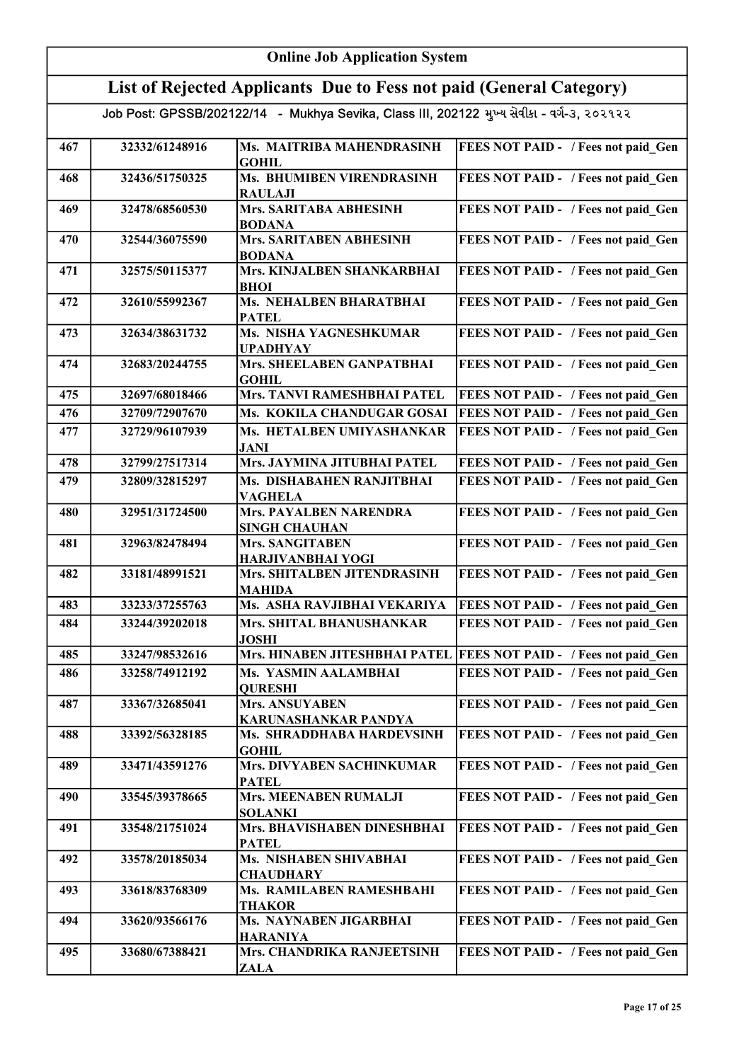|     | <b>Online Job Application System</b>                                                       |                                                       |                                                                     |  |
|-----|--------------------------------------------------------------------------------------------|-------------------------------------------------------|---------------------------------------------------------------------|--|
|     | List of Rejected Applicants Due to Fess not paid (General Category)                        |                                                       |                                                                     |  |
|     | Job Post: GPSSB/202122/14 - Mukhya Sevika, Class III, 202122 મુખ્ય સેવીકા - વર્ગ-૩, ૨૦૨૧૨૨ |                                                       |                                                                     |  |
| 467 | 32332/61248916                                                                             | Ms. MAITRIBA MAHENDRASINH<br><b>GOHIL</b>             | FEES NOT PAID - / Fees not paid Gen                                 |  |
| 468 | 32436/51750325                                                                             | Ms. BHUMIBEN VIRENDRASINH<br><b>RAULAJI</b>           | FEES NOT PAID - / Fees not paid_Gen                                 |  |
| 469 | 32478/68560530                                                                             | <b>Mrs. SARITABA ABHESINH</b><br><b>BODANA</b>        | FEES NOT PAID - / Fees not paid Gen                                 |  |
| 470 | 32544/36075590                                                                             | Mrs. SARITABEN ABHESINH<br><b>BODANA</b>              | FEES NOT PAID - / Fees not paid Gen                                 |  |
| 471 | 32575/50115377                                                                             | Mrs. KINJALBEN SHANKARBHAI<br><b>BHOI</b>             | FEES NOT PAID - / Fees not paid Gen                                 |  |
| 472 | 32610/55992367                                                                             | <b>Ms. NEHALBEN BHARATBHAI</b><br><b>PATEL</b>        | FEES NOT PAID - / Fees not paid Gen                                 |  |
| 473 | 32634/38631732                                                                             | Ms. NISHA YAGNESHKUMAR<br><b>UPADHYAY</b>             | FEES NOT PAID - / Fees not paid Gen                                 |  |
| 474 | 32683/20244755                                                                             | Mrs. SHEELABEN GANPATBHAI<br><b>GOHIL</b>             | FEES NOT PAID - / Fees not paid Gen                                 |  |
| 475 | 32697/68018466                                                                             | Mrs. TANVI RAMESHBHAI PATEL                           | FEES NOT PAID - / Fees not paid Gen                                 |  |
| 476 | 32709/72907670                                                                             | Ms. KOKILA CHANDUGAR GOSAI                            | FEES NOT PAID - / Fees not paid Gen                                 |  |
| 477 | 32729/96107939                                                                             | Ms. HETALBEN UMIYASHANKAR<br><b>JANI</b>              | FEES NOT PAID - / Fees not paid Gen                                 |  |
| 478 | 32799/27517314                                                                             | Mrs. JAYMINA JITUBHAI PATEL                           | FEES NOT PAID - / Fees not paid Gen                                 |  |
| 479 | 32809/32815297                                                                             | Ms. DISHABAHEN RANJITBHAI<br><b>VAGHELA</b>           | FEES NOT PAID - / Fees not paid Gen                                 |  |
| 480 | 32951/31724500                                                                             | <b>Mrs. PAYALBEN NARENDRA</b><br><b>SINGH CHAUHAN</b> | FEES NOT PAID - / Fees not paid Gen                                 |  |
| 481 | 32963/82478494                                                                             | <b>Mrs. SANGITABEN</b><br><b>HARJIVANBHAI YOGI</b>    | FEES NOT PAID - / Fees not paid Gen                                 |  |
| 482 | 33181/48991521                                                                             | Mrs. SHITALBEN JITENDRASINH<br><b>MAHIDA</b>          | FEES NOT PAID - / Fees not paid Gen                                 |  |
| 483 | 33233/37255763                                                                             | Ms. ASHA RAVJIBHAI VEKARIYA                           | <b>FEES NOT PAID - / Fees not paid Gen</b>                          |  |
| 484 | 33244/39202018                                                                             | Mrs. SHITAL BHANUSHANKAR<br><b>JOSHI</b>              | FEES NOT PAID - / Fees not paid Gen                                 |  |
| 485 | 33247/98532616                                                                             |                                                       | Mrs. HINABEN JITESHBHAI PATEL   FEES NOT PAID - / Fees not paid Gen |  |
| 486 | 33258/74912192                                                                             | Ms. YASMIN AALAMBHAI<br><b>QURESHI</b>                | FEES NOT PAID - / Fees not paid Gen                                 |  |
| 487 | 33367/32685041                                                                             | <b>Mrs. ANSUYABEN</b><br>KARUNASHANKAR PANDYA         | FEES NOT PAID - / Fees not paid Gen                                 |  |
| 488 | 33392/56328185                                                                             | Ms. SHRADDHABA HARDEVSINH<br><b>GOHIL</b>             | FEES NOT PAID - / Fees not paid Gen                                 |  |
| 489 | 33471/43591276                                                                             | <b>Mrs. DIVYABEN SACHINKUMAR</b><br><b>PATEL</b>      | FEES NOT PAID - / Fees not paid Gen                                 |  |
| 490 | 33545/39378665                                                                             | <b>Mrs. MEENABEN RUMALJI</b><br><b>SOLANKI</b>        | FEES NOT PAID - / Fees not paid Gen                                 |  |
| 491 | 33548/21751024                                                                             | Mrs. BHAVISHABEN DINESHBHAI<br><b>PATEL</b>           | FEES NOT PAID - / Fees not paid Gen                                 |  |
| 492 | 33578/20185034                                                                             | Ms. NISHABEN SHIVABHAI<br><b>CHAUDHARY</b>            | FEES NOT PAID - / Fees not paid Gen                                 |  |
| 493 | 33618/83768309                                                                             | Ms. RAMILABEN RAMESHBAHI<br><b>THAKOR</b>             | FEES NOT PAID - / Fees not paid Gen                                 |  |
| 494 | 33620/93566176                                                                             | Ms. NAYNABEN JIGARBHAI<br><b>HARANIYA</b>             | FEES NOT PAID - / Fees not paid Gen                                 |  |
| 495 | 33680/67388421                                                                             | Mrs. CHANDRIKA RANJEETSINH<br>ZALA                    | FEES NOT PAID - / Fees not paid Gen                                 |  |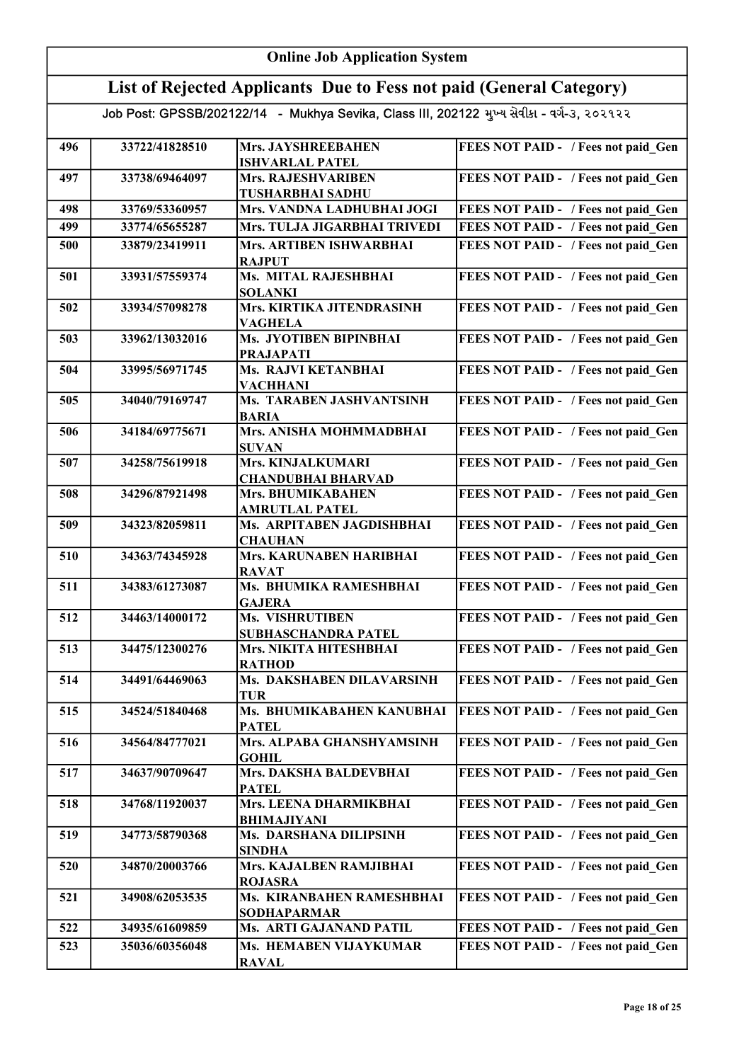| <b>Online Job Application System</b> |                                               |                                                                                                                                                                                                                                                                                                                                                                                                                                                                                                                      |  |
|--------------------------------------|-----------------------------------------------|----------------------------------------------------------------------------------------------------------------------------------------------------------------------------------------------------------------------------------------------------------------------------------------------------------------------------------------------------------------------------------------------------------------------------------------------------------------------------------------------------------------------|--|
|                                      |                                               |                                                                                                                                                                                                                                                                                                                                                                                                                                                                                                                      |  |
|                                      |                                               |                                                                                                                                                                                                                                                                                                                                                                                                                                                                                                                      |  |
| 33722/41828510                       | Mrs. JAYSHREEBAHEN                            | FEES NOT PAID - / Fees not paid Gen                                                                                                                                                                                                                                                                                                                                                                                                                                                                                  |  |
| 33738/69464097                       | <b>Mrs. RAJESHVARIBEN</b>                     | FEES NOT PAID - / Fees not paid Gen                                                                                                                                                                                                                                                                                                                                                                                                                                                                                  |  |
| 33769/53360957                       | Mrs. VANDNA LADHUBHAI JOGI                    | FEES NOT PAID - / Fees not paid Gen                                                                                                                                                                                                                                                                                                                                                                                                                                                                                  |  |
| 33774/65655287                       | Mrs. TULJA JIGARBHAI TRIVEDI                  | FEES NOT PAID - / Fees not paid Gen                                                                                                                                                                                                                                                                                                                                                                                                                                                                                  |  |
| 33879/23419911                       | Mrs. ARTIBEN ISHWARBHAI<br><b>RAJPUT</b>      | FEES NOT PAID - / Fees not paid Gen                                                                                                                                                                                                                                                                                                                                                                                                                                                                                  |  |
| 33931/57559374                       | Ms. MITAL RAJESHBHAI<br><b>SOLANKI</b>        | FEES NOT PAID - / Fees not paid_Gen                                                                                                                                                                                                                                                                                                                                                                                                                                                                                  |  |
| 33934/57098278                       | Mrs. KIRTIKA JITENDRASINH<br><b>VAGHELA</b>   | FEES NOT PAID - / Fees not paid_Gen                                                                                                                                                                                                                                                                                                                                                                                                                                                                                  |  |
| 33962/13032016                       | Ms. JYOTIBEN BIPINBHAI<br><b>PRAJAPATI</b>    | FEES NOT PAID - / Fees not paid_Gen                                                                                                                                                                                                                                                                                                                                                                                                                                                                                  |  |
| 33995/56971745                       | <b>Ms. RAJVI KETANBHAI</b><br><b>VACHHANI</b> | FEES NOT PAID - / Fees not paid Gen                                                                                                                                                                                                                                                                                                                                                                                                                                                                                  |  |
| 34040/79169747                       | Ms. TARABEN JASHVANTSINH<br><b>BARIA</b>      | FEES NOT PAID - / Fees not paid Gen                                                                                                                                                                                                                                                                                                                                                                                                                                                                                  |  |
| 34184/69775671                       | Mrs. ANISHA MOHMMADBHAI<br><b>SUVAN</b>       | FEES NOT PAID - / Fees not paid Gen                                                                                                                                                                                                                                                                                                                                                                                                                                                                                  |  |
| 34258/75619918                       | Mrs. KINJALKUMARI                             | FEES NOT PAID - / Fees not paid_Gen                                                                                                                                                                                                                                                                                                                                                                                                                                                                                  |  |
| 34296/87921498                       | Mrs. BHUMIKABAHEN                             | FEES NOT PAID - / Fees not paid Gen                                                                                                                                                                                                                                                                                                                                                                                                                                                                                  |  |
| 34323/82059811                       | Ms. ARPITABEN JAGDISHBHAI                     | FEES NOT PAID - / Fees not paid Gen                                                                                                                                                                                                                                                                                                                                                                                                                                                                                  |  |
| 34363/74345928                       | Mrs. KARUNABEN HARIBHAI                       | FEES NOT PAID - / Fees not paid Gen                                                                                                                                                                                                                                                                                                                                                                                                                                                                                  |  |
| 34383/61273087                       | Ms. BHUMIKA RAMESHBHAI                        | FEES NOT PAID - / Fees not paid Gen                                                                                                                                                                                                                                                                                                                                                                                                                                                                                  |  |
| 34463/14000172                       | Ms. VISHRUTIBEN                               | FEES NOT PAID - / Fees not paid Gen                                                                                                                                                                                                                                                                                                                                                                                                                                                                                  |  |
| 34475/12300276                       | Mrs. NIKITA HITESHBHAI                        | FEES NOT PAID - / Fees not paid Gen                                                                                                                                                                                                                                                                                                                                                                                                                                                                                  |  |
| 34491/64469063                       | Ms. DAKSHABEN DILAVARSINH                     | FEES NOT PAID - / Fees not paid Gen                                                                                                                                                                                                                                                                                                                                                                                                                                                                                  |  |
| 34524/51840468                       | Ms. BHUMIKABAHEN KANUBHAI<br><b>PATEL</b>     | FEES NOT PAID - / Fees not paid Gen                                                                                                                                                                                                                                                                                                                                                                                                                                                                                  |  |
| 34564/84777021                       | Mrs. ALPABA GHANSHYAMSINH                     | FEES NOT PAID - / Fees not paid Gen                                                                                                                                                                                                                                                                                                                                                                                                                                                                                  |  |
| 34637/90709647                       | Mrs. DAKSHA BALDEVBHAI                        | FEES NOT PAID - / Fees not paid_Gen                                                                                                                                                                                                                                                                                                                                                                                                                                                                                  |  |
| 34768/11920037                       | Mrs. LEENA DHARMIKBHAI                        | FEES NOT PAID - / Fees not paid Gen                                                                                                                                                                                                                                                                                                                                                                                                                                                                                  |  |
| 34773/58790368                       | Ms. DARSHANA DILIPSINH                        | FEES NOT PAID - / Fees not paid Gen                                                                                                                                                                                                                                                                                                                                                                                                                                                                                  |  |
| 34870/20003766                       | Mrs. KAJALBEN RAMJIBHAI                       | FEES NOT PAID - / Fees not paid Gen                                                                                                                                                                                                                                                                                                                                                                                                                                                                                  |  |
| 34908/62053535                       | Ms. KIRANBAHEN RAMESHBHAI                     | FEES NOT PAID - / Fees not paid Gen                                                                                                                                                                                                                                                                                                                                                                                                                                                                                  |  |
| 34935/61609859                       | Ms. ARTI GAJANAND PATIL                       | FEES NOT PAID - / Fees not paid Gen                                                                                                                                                                                                                                                                                                                                                                                                                                                                                  |  |
| 35036/60356048                       | Ms. HEMABEN VIJAYKUMAR                        | FEES NOT PAID - / Fees not paid Gen                                                                                                                                                                                                                                                                                                                                                                                                                                                                                  |  |
|                                      |                                               | List of Rejected Applicants Due to Fess not paid (General Category)<br>Job Post: GPSSB/202122/14 - Mukhya Sevika, Class III, 202122 મુખ્ય સેવીકા - વર્ગ-૩, ૨૦૨૧૨૨<br><b>ISHVARLAL PATEL</b><br><b>TUSHARBHAI SADHU</b><br><b>CHANDUBHAI BHARVAD</b><br><b>AMRUTLAL PATEL</b><br><b>CHAUHAN</b><br><b>RAVAT</b><br><b>GAJERA</b><br><b>SUBHASCHANDRA PATEL</b><br><b>RATHOD</b><br>TUR<br><b>GOHIL</b><br><b>PATEL</b><br><b>BHIMAJIYANI</b><br><b>SINDHA</b><br><b>ROJASRA</b><br><b>SODHAPARMAR</b><br><b>RAVAL</b> |  |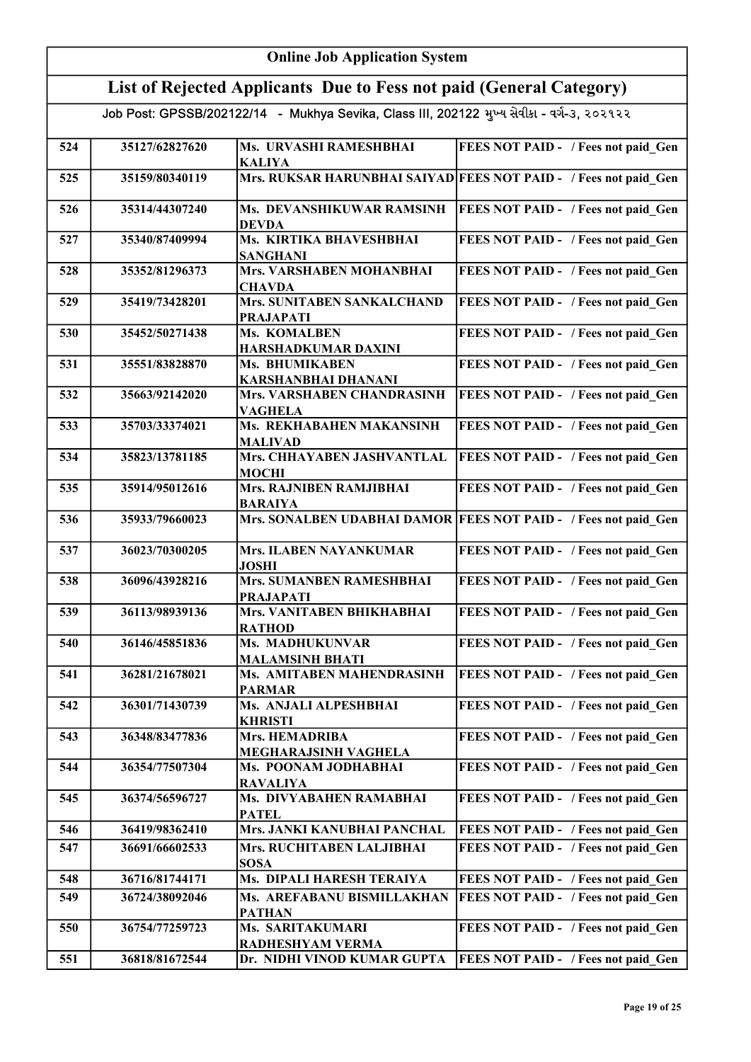|     | <b>Online Job Application System</b>                                |                                                                                            |                                                                  |
|-----|---------------------------------------------------------------------|--------------------------------------------------------------------------------------------|------------------------------------------------------------------|
|     | List of Rejected Applicants Due to Fess not paid (General Category) |                                                                                            |                                                                  |
|     |                                                                     | Job Post: GPSSB/202122/14 - Mukhya Sevika, Class III, 202122 મુખ્ય સેવીકા - વર્ગ-૩, ૨૦૨૧૨૨ |                                                                  |
| 524 | 35127/62827620                                                      | Ms. URVASHI RAMESHBHAI<br><b>KALIYA</b>                                                    | FEES NOT PAID - / Fees not paid Gen                              |
| 525 | 35159/80340119                                                      |                                                                                            | Mrs. RUKSAR HARUNBHAI SAIYAD FEES NOT PAID - / Fees not paid_Gen |
| 526 | 35314/44307240                                                      | Ms. DEVANSHIKUWAR RAMSINH<br><b>DEVDA</b>                                                  | <b>FEES NOT PAID - / Fees not paid_Gen</b>                       |
| 527 | 35340/87409994                                                      | Ms. KIRTIKA BHAVESHBHAI<br><b>SANGHANI</b>                                                 | FEES NOT PAID - / Fees not paid Gen                              |
| 528 | 35352/81296373                                                      | Mrs. VARSHABEN MOHANBHAI<br><b>CHAVDA</b>                                                  | FEES NOT PAID - / Fees not paid Gen                              |
| 529 | 35419/73428201                                                      | Mrs. SUNITABEN SANKALCHAND<br><b>PRAJAPATI</b>                                             | FEES NOT PAID - / Fees not paid Gen                              |
| 530 | 35452/50271438                                                      | Ms. KOMALBEN<br>HARSHADKUMAR DAXINI                                                        | FEES NOT PAID - / Fees not paid Gen                              |
| 531 | 35551/83828870                                                      | Ms. BHUMIKABEN<br><b>KARSHANBHAI DHANANI</b>                                               | FEES NOT PAID - / Fees not paid Gen                              |
| 532 | 35663/92142020                                                      | Mrs. VARSHABEN CHANDRASINH<br><b>VAGHELA</b>                                               | FEES NOT PAID - / Fees not paid Gen                              |
| 533 | 35703/33374021                                                      | Ms. REKHABAHEN MAKANSINH<br><b>MALIVAD</b>                                                 | FEES NOT PAID - / Fees not paid Gen                              |
| 534 | 35823/13781185                                                      | Mrs. CHHAYABEN JASHVANTLAL<br><b>MOCHI</b>                                                 | <b>FEES NOT PAID - / Fees not paid Gen</b>                       |
| 535 | 35914/95012616                                                      | Mrs. RAJNIBEN RAMJIBHAI<br><b>BARAIYA</b>                                                  | FEES NOT PAID - / Fees not paid Gen                              |
| 536 | 35933/79660023                                                      |                                                                                            | Mrs. SONALBEN UDABHAI DAMOR FEES NOT PAID - / Fees not paid Gen  |
| 537 | 36023/70300205                                                      | <b>Mrs. ILABEN NAYANKUMAR</b><br><b>JOSHI</b>                                              | FEES NOT PAID - / Fees not paid_Gen                              |
| 538 | 36096/43928216                                                      | Mrs. SUMANBEN RAMESHBHAI<br><b>PRAJAPATI</b>                                               | FEES NOT PAID - / Fees not paid Gen                              |
| 539 | 36113/98939136                                                      | Mrs. VANITABEN BHIKHABHAI<br><b>RATHOD</b>                                                 | FEES NOT PAID - / Fees not paid Gen                              |
| 540 | 36146/45851836                                                      | Ms. MADHUKUNVAR<br><b>MALAMSINH BHATI</b>                                                  | FEES NOT PAID - / Fees not paid Gen                              |
| 541 | 36281/21678021                                                      | Ms. AMITABEN MAHENDRASINH<br><b>PARMAR</b>                                                 | FEES NOT PAID - / Fees not paid Gen                              |
| 542 | 36301/71430739                                                      | Ms. ANJALI ALPESHBHAI<br><b>KHRISTI</b>                                                    | FEES NOT PAID - / Fees not paid Gen                              |
| 543 | 36348/83477836                                                      | <b>Mrs. HEMADRIBA</b><br>MEGHARAJSINH VAGHELA                                              | FEES NOT PAID - / Fees not paid Gen                              |
| 544 | 36354/77507304                                                      | Ms. POONAM JODHABHAI<br><b>RAVALIYA</b>                                                    | FEES NOT PAID - / Fees not paid Gen                              |
| 545 | 36374/56596727                                                      | Ms. DIVYABAHEN RAMABHAI<br><b>PATEL</b>                                                    | FEES NOT PAID - / Fees not paid Gen                              |
| 546 | 36419/98362410                                                      | Mrs. JANKI KANUBHAI PANCHAL                                                                | FEES NOT PAID - / Fees not paid Gen                              |
| 547 | 36691/66602533                                                      | Mrs. RUCHITABEN LALJIBHAI<br><b>SOSA</b>                                                   | FEES NOT PAID - / Fees not paid Gen                              |
| 548 | 36716/81744171                                                      | Ms. DIPALI HARESH TERAIYA                                                                  | FEES NOT PAID - / Fees not paid Gen                              |
| 549 | 36724/38092046                                                      | Ms. AREFABANU BISMILLAKHAN<br><b>PATHAN</b>                                                | FEES NOT PAID - / Fees not paid Gen                              |
| 550 | 36754/77259723                                                      | Ms. SARITAKUMARI<br>RADHESHYAM VERMA                                                       | FEES NOT PAID - / Fees not paid Gen                              |
| 551 | 36818/81672544                                                      | Dr. NIDHI VINOD KUMAR GUPTA                                                                | FEES NOT PAID - / Fees not paid Gen                              |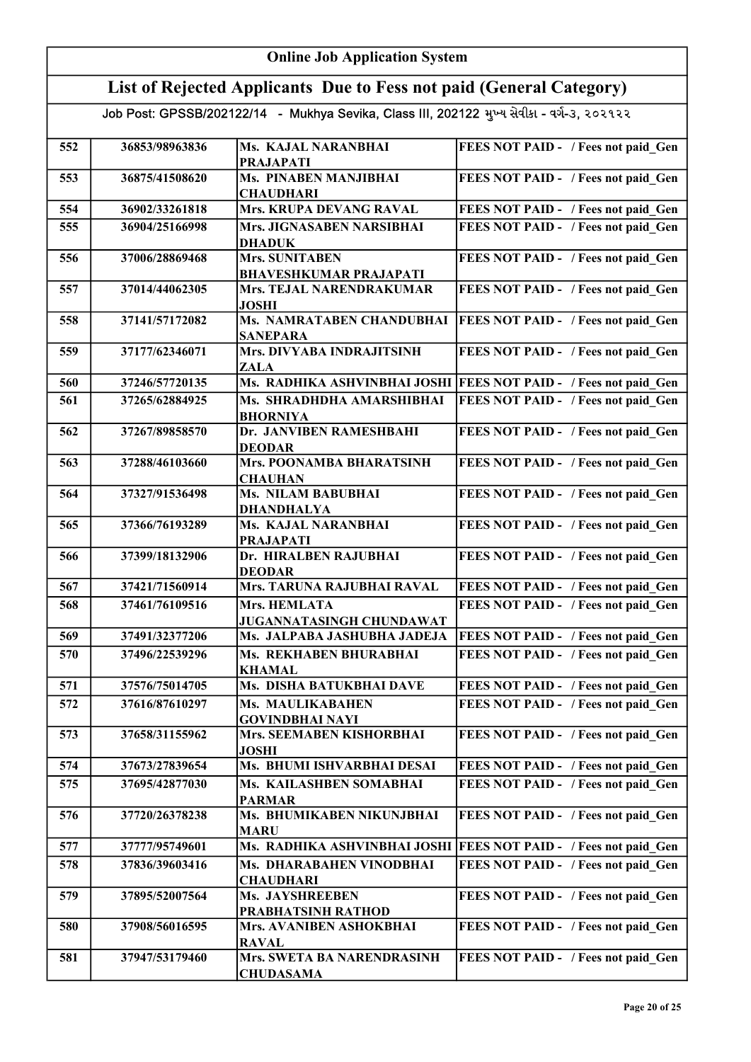|     | <b>Online Job Application System</b>                                |                                                                                            |                                                                  |
|-----|---------------------------------------------------------------------|--------------------------------------------------------------------------------------------|------------------------------------------------------------------|
|     | List of Rejected Applicants Due to Fess not paid (General Category) |                                                                                            |                                                                  |
|     |                                                                     | Job Post: GPSSB/202122/14 - Mukhya Sevika, Class III, 202122 મુખ્ય સેવીકા - વર્ગ-૩, ૨૦૨૧૨૨ |                                                                  |
| 552 | 36853/98963836                                                      | Ms. KAJAL NARANBHAI<br><b>PRAJAPATI</b>                                                    | FEES NOT PAID - / Fees not paid Gen                              |
| 553 | 36875/41508620                                                      | Ms. PINABEN MANJIBHAI<br><b>CHAUDHARI</b>                                                  | FEES NOT PAID - / Fees not paid Gen                              |
| 554 | 36902/33261818                                                      | Mrs. KRUPA DEVANG RAVAL                                                                    | FEES NOT PAID - / Fees not paid Gen                              |
| 555 | 36904/25166998                                                      | Mrs. JIGNASABEN NARSIBHAI<br><b>DHADUK</b>                                                 | FEES NOT PAID - / Fees not paid Gen                              |
| 556 | 37006/28869468                                                      | Mrs. SUNITABEN<br><b>BHAVESHKUMAR PRAJAPATI</b>                                            | FEES NOT PAID - / Fees not paid Gen                              |
| 557 | 37014/44062305                                                      | Mrs. TEJAL NARENDRAKUMAR<br><b>JOSHI</b>                                                   | FEES NOT PAID - / Fees not paid Gen                              |
| 558 | 37141/57172082                                                      | Ms. NAMRATABEN CHANDUBHAI<br><b>SANEPARA</b>                                               | <b>FEES NOT PAID - / Fees not paid Gen</b>                       |
| 559 | 37177/62346071                                                      | Mrs. DIVYABA INDRAJITSINH<br><b>ZALA</b>                                                   | FEES NOT PAID - / Fees not paid Gen                              |
| 560 | 37246/57720135                                                      |                                                                                            | Ms. RADHIKA ASHVINBHAI JOSHI FEES NOT PAID - / Fees not paid Gen |
| 561 | 37265/62884925                                                      | Ms. SHRADHDHA AMARSHIBHAI<br><b>BHORNIYA</b>                                               | FEES NOT PAID - / Fees not paid Gen                              |
| 562 | 37267/89858570                                                      | Dr. JANVIBEN RAMESHBAHI<br><b>DEODAR</b>                                                   | FEES NOT PAID - / Fees not paid Gen                              |
| 563 | 37288/46103660                                                      | Mrs. POONAMBA BHARATSINH<br><b>CHAUHAN</b>                                                 | FEES NOT PAID - / Fees not paid_Gen                              |
| 564 | 37327/91536498                                                      | <b>Ms. NILAM BABUBHAI</b><br><b>DHANDHALYA</b>                                             | FEES NOT PAID - / Fees not paid Gen                              |
| 565 | 37366/76193289                                                      | Ms. KAJAL NARANBHAI<br><b>PRAJAPATI</b>                                                    | FEES NOT PAID - / Fees not paid Gen                              |
| 566 | 37399/18132906                                                      | Dr. HIRALBEN RAJUBHAI<br><b>DEODAR</b>                                                     | FEES NOT PAID - / Fees not paid Gen                              |
| 567 | 37421/71560914                                                      | Mrs. TARUNA RAJUBHAI RAVAL                                                                 | FEES NOT PAID - / Fees not paid Gen                              |
| 568 | 37461/76109516                                                      | Mrs. HEMLATA<br>JUGANNATASINGH CHUNDAWAT                                                   | FEES NOT PAID - / Fees not paid Gen                              |
| 569 | 37491/32377206                                                      | Ms. JALPABA JASHUBHA JADEJA                                                                | <b>FEES NOT PAID - / Fees not paid Gen</b>                       |
| 570 | 37496/22539296                                                      | Ms. REKHABEN BHURABHAI<br><b>KHAMAL</b>                                                    | FEES NOT PAID - / Fees not paid Gen                              |
| 571 | 37576/75014705                                                      | Ms. DISHA BATUKBHAI DAVE                                                                   | FEES NOT PAID - / Fees not paid Gen                              |
| 572 | 37616/87610297                                                      | Ms. MAULIKABAHEN<br><b>GOVINDBHAI NAYI</b>                                                 | FEES NOT PAID - / Fees not paid Gen                              |
| 573 | 37658/31155962                                                      | Mrs. SEEMABEN KISHORBHAI<br><b>JOSHI</b>                                                   | FEES NOT PAID - / Fees not paid Gen                              |
| 574 | 37673/27839654                                                      | Ms. BHUMI ISHVARBHAI DESAI                                                                 | FEES NOT PAID - / Fees not paid Gen                              |
| 575 | 37695/42877030                                                      | Ms. KAILASHBEN SOMABHAI<br><b>PARMAR</b>                                                   | FEES NOT PAID - / Fees not paid Gen                              |
| 576 | 37720/26378238                                                      | Ms. BHUMIKABEN NIKUNJBHAI<br><b>MARU</b>                                                   | FEES NOT PAID - / Fees not paid Gen                              |
| 577 | 37777/95749601                                                      | Ms. RADHIKA ASHVINBHAI JOSHI                                                               | <b>FEES NOT PAID - / Fees not paid Gen</b>                       |
| 578 | 37836/39603416                                                      | Ms. DHARABAHEN VINODBHAI<br><b>CHAUDHARI</b>                                               | FEES NOT PAID - / Fees not paid Gen                              |
| 579 | 37895/52007564                                                      | <b>Ms. JAYSHREEBEN</b><br>PRABHATSINH RATHOD                                               | FEES NOT PAID - / Fees not paid Gen                              |
| 580 | 37908/56016595                                                      | Mrs. AVANIBEN ASHOKBHAI<br><b>RAVAL</b>                                                    | FEES NOT PAID - / Fees not paid Gen                              |
| 581 | 37947/53179460                                                      | Mrs. SWETA BA NARENDRASINH<br><b>CHUDASAMA</b>                                             | FEES NOT PAID - / Fees not paid Gen                              |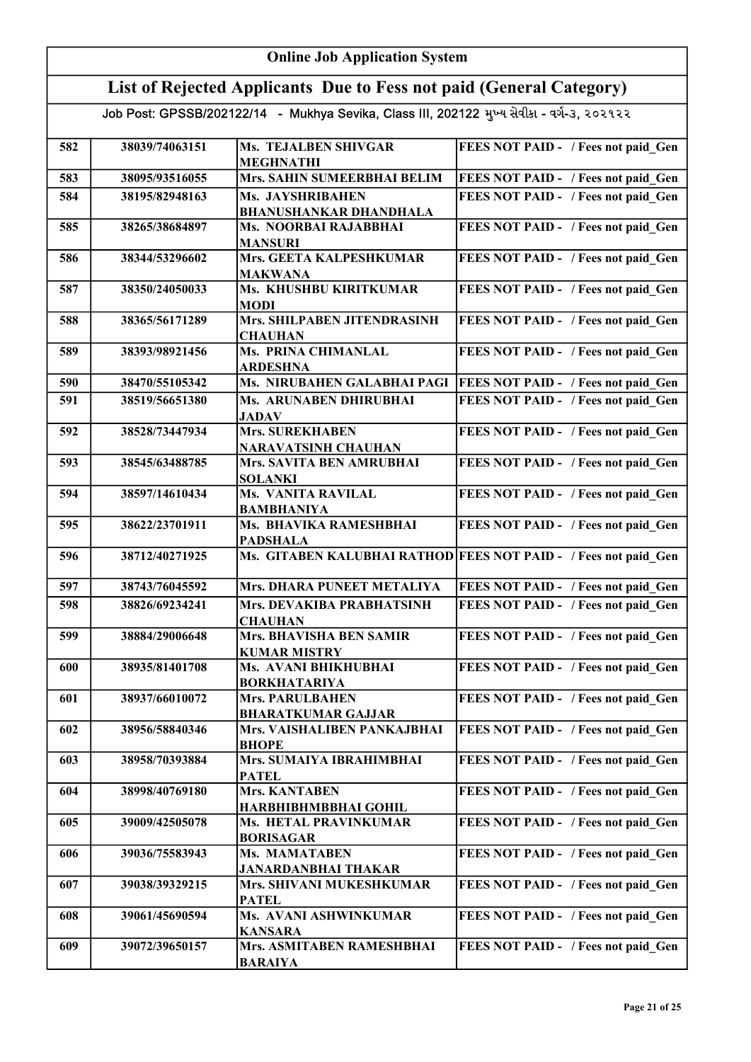|     | <b>Online Job Application System</b>                                |                                                                                            |                                                                 |  |
|-----|---------------------------------------------------------------------|--------------------------------------------------------------------------------------------|-----------------------------------------------------------------|--|
|     | List of Rejected Applicants Due to Fess not paid (General Category) |                                                                                            |                                                                 |  |
|     |                                                                     | Job Post: GPSSB/202122/14 - Mukhya Sevika, Class III, 202122 મુખ્ય સેવીકા - વર્ગ-૩, ૨૦૨૧૨૨ |                                                                 |  |
| 582 | 38039/74063151                                                      | <b>Ms. TEJALBEN SHIVGAR</b><br><b>MEGHNATHI</b>                                            | FEES NOT PAID - / Fees not paid Gen                             |  |
| 583 | 38095/93516055                                                      | Mrs. SAHIN SUMEERBHAI BELIM                                                                | FEES NOT PAID - / Fees not paid Gen                             |  |
| 584 | 38195/82948163                                                      | Ms. JAYSHRIBAHEN                                                                           | FEES NOT PAID - / Fees not paid Gen                             |  |
| 585 | 38265/38684897                                                      | <b>BHANUSHANKAR DHANDHALA</b><br>Ms. NOORBAI RAJABBHAI<br><b>MANSURI</b>                   | FEES NOT PAID - / Fees not paid Gen                             |  |
| 586 | 38344/53296602                                                      | Mrs. GEETA KALPESHKUMAR<br><b>MAKWANA</b>                                                  | FEES NOT PAID - / Fees not paid_Gen                             |  |
| 587 | 38350/24050033                                                      | Ms. KHUSHBU KIRITKUMAR<br><b>MODI</b>                                                      | FEES NOT PAID - / Fees not paid Gen                             |  |
| 588 | 38365/56171289                                                      | Mrs. SHILPABEN JITENDRASINH<br><b>CHAUHAN</b>                                              | FEES NOT PAID - / Fees not paid Gen                             |  |
| 589 | 38393/98921456                                                      | <b>Ms. PRINA CHIMANLAL</b><br><b>ARDESHNA</b>                                              | FEES NOT PAID - / Fees not paid_Gen                             |  |
| 590 | 38470/55105342                                                      | Ms. NIRUBAHEN GALABHAI PAGI                                                                | <b>FEES NOT PAID - / Fees not paid Gen</b>                      |  |
| 591 | 38519/56651380                                                      | Ms. ARUNABEN DHIRUBHAI<br><b>JADAV</b>                                                     | FEES NOT PAID - / Fees not paid Gen                             |  |
| 592 | 38528/73447934                                                      | Mrs. SUREKHABEN<br><b>NARAVATSINH CHAUHAN</b>                                              | FEES NOT PAID - / Fees not paid Gen                             |  |
| 593 | 38545/63488785                                                      | Mrs. SAVITA BEN AMRUBHAI<br><b>SOLANKI</b>                                                 | FEES NOT PAID - / Fees not paid Gen                             |  |
| 594 | 38597/14610434                                                      | <b>Ms. VANITA RAVILAL</b><br><b>BAMBHANIYA</b>                                             | FEES NOT PAID - / Fees not paid Gen                             |  |
| 595 | 38622/23701911                                                      | Ms. BHAVIKA RAMESHBHAI<br><b>PADSHALA</b>                                                  | FEES NOT PAID - / Fees not paid Gen                             |  |
| 596 | 38712/40271925                                                      |                                                                                            | Ms. GITABEN KALUBHAI RATHOD FEES NOT PAID - / Fees not paid Gen |  |
| 597 | 38743/76045592                                                      | Mrs. DHARA PUNEET METALIYA                                                                 | FEES NOT PAID - / Fees not paid Gen                             |  |
| 598 | 38826/69234241                                                      | Mrs. DEVAKIBA PRABHATSINH<br><b>CHAUHAN</b>                                                | <b>FEES NOT PAID - / Fees not paid_Gen</b>                      |  |
| 599 | 38884/29006648                                                      | Mrs. BHAVISHA BEN SAMIR<br><b>KUMAR MISTRY</b>                                             | FEES NOT PAID - / Fees not paid Gen                             |  |
| 600 | 38935/81401708                                                      | Ms. AVANI BHIKHUBHAI<br><b>BORKHATARIYA</b>                                                | FEES NOT PAID - / Fees not paid Gen                             |  |
| 601 | 38937/66010072                                                      | <b>Mrs. PARULBAHEN</b><br><b>BHARATKUMAR GAJJAR</b>                                        | FEES NOT PAID - / Fees not paid Gen                             |  |
| 602 | 38956/58840346                                                      | Mrs. VAISHALIBEN PANKAJBHAI<br><b>BHOPE</b>                                                | FEES NOT PAID - / Fees not paid Gen                             |  |
| 603 | 38958/70393884                                                      | Mrs. SUMAIYA IBRAHIMBHAI<br><b>PATEL</b>                                                   | FEES NOT PAID - / Fees not paid Gen                             |  |
| 604 | 38998/40769180                                                      | <b>Mrs. KANTABEN</b><br>HARBHIBHMBBHAI GOHIL                                               | FEES NOT PAID - / Fees not paid Gen                             |  |
| 605 | 39009/42505078                                                      | Ms. HETAL PRAVINKUMAR<br><b>BORISAGAR</b>                                                  | FEES NOT PAID - / Fees not paid Gen                             |  |
| 606 | 39036/75583943                                                      | Ms. MAMATABEN<br><b>JANARDANBHAI THAKAR</b>                                                | FEES NOT PAID - / Fees not paid Gen                             |  |
| 607 | 39038/39329215                                                      | Mrs. SHIVANI MUKESHKUMAR<br><b>PATEL</b>                                                   | FEES NOT PAID - / Fees not paid Gen                             |  |
| 608 | 39061/45690594                                                      | Ms. AVANI ASHWINKUMAR<br><b>KANSARA</b>                                                    | FEES NOT PAID - / Fees not paid Gen                             |  |
| 609 | 39072/39650157                                                      | Mrs. ASMITABEN RAMESHBHAI<br><b>BARAIYA</b>                                                | FEES NOT PAID - / Fees not paid Gen                             |  |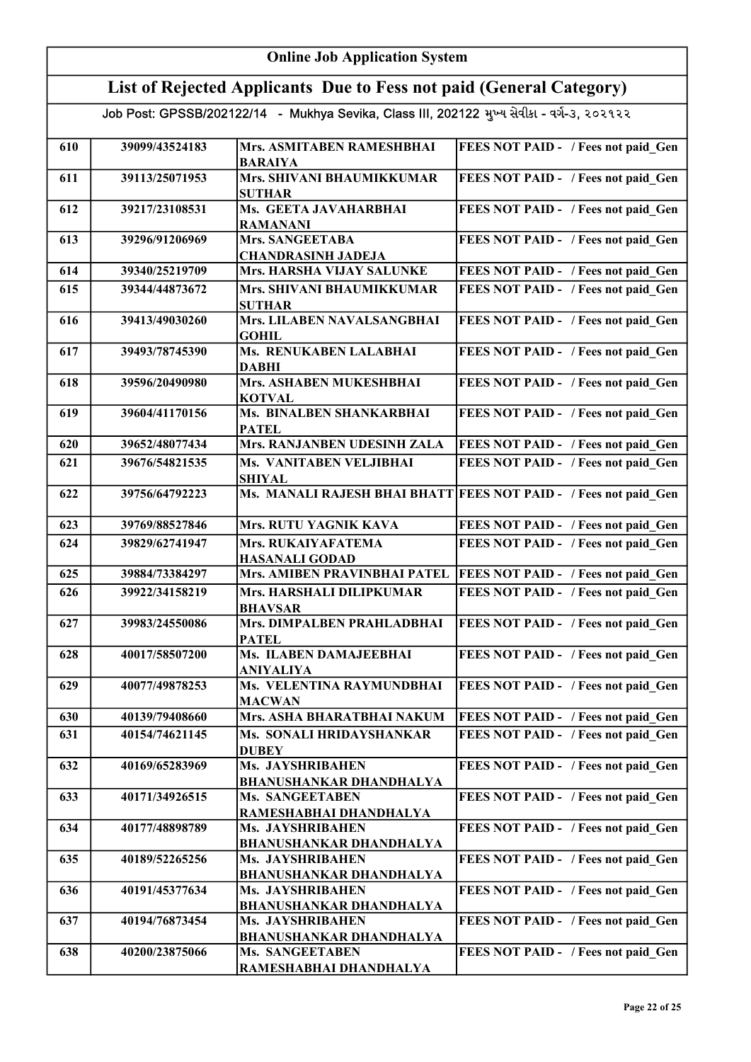|     | <b>Online Job Application System</b>                                |                                                                                            |                                                                  |
|-----|---------------------------------------------------------------------|--------------------------------------------------------------------------------------------|------------------------------------------------------------------|
|     | List of Rejected Applicants Due to Fess not paid (General Category) |                                                                                            |                                                                  |
|     |                                                                     | Job Post: GPSSB/202122/14 - Mukhya Sevika, Class III, 202122 મુખ્ય સેવીકા - વર્ગ-૩, ૨૦૨૧૨૨ |                                                                  |
| 610 | 39099/43524183                                                      | Mrs. ASMITABEN RAMESHBHAI<br><b>BARAIYA</b>                                                | <b>FEES NOT PAID - / Fees not paid Gen</b>                       |
| 611 | 39113/25071953                                                      | Mrs. SHIVANI BHAUMIKKUMAR<br><b>SUTHAR</b>                                                 | FEES NOT PAID - / Fees not paid Gen                              |
| 612 | 39217/23108531                                                      | Ms. GEETA JAVAHARBHAI<br><b>RAMANANI</b>                                                   | FEES NOT PAID - / Fees not paid Gen                              |
| 613 | 39296/91206969                                                      | Mrs. SANGEETABA<br><b>CHANDRASINH JADEJA</b>                                               | FEES NOT PAID - / Fees not paid Gen                              |
| 614 | 39340/25219709                                                      | Mrs. HARSHA VIJAY SALUNKE                                                                  | FEES NOT PAID - / Fees not paid Gen                              |
| 615 | 39344/44873672                                                      | Mrs. SHIVANI BHAUMIKKUMAR<br><b>SUTHAR</b>                                                 | FEES NOT PAID - / Fees not paid Gen                              |
| 616 | 39413/49030260                                                      | Mrs. LILABEN NAVALSANGBHAI<br><b>GOHIL</b>                                                 | FEES NOT PAID - / Fees not paid Gen                              |
| 617 | 39493/78745390                                                      | Ms. RENUKABEN LALABHAI<br><b>DABHI</b>                                                     | FEES NOT PAID - / Fees not paid Gen                              |
| 618 | 39596/20490980                                                      | Mrs. ASHABEN MUKESHBHAI<br><b>KOTVAL</b>                                                   | FEES NOT PAID - / Fees not paid Gen                              |
| 619 | 39604/41170156                                                      | Ms. BINALBEN SHANKARBHAI<br><b>PATEL</b>                                                   | FEES NOT PAID - / Fees not paid Gen                              |
| 620 | 39652/48077434                                                      | Mrs. RANJANBEN UDESINH ZALA                                                                | FEES NOT PAID - / Fees not paid Gen                              |
| 621 | 39676/54821535                                                      | Ms. VANITABEN VELJIBHAI<br><b>SHIYAL</b>                                                   | FEES NOT PAID - / Fees not paid Gen                              |
| 622 | 39756/64792223                                                      |                                                                                            | Ms. MANALI RAJESH BHAI BHATT FEES NOT PAID - / Fees not paid Gen |
| 623 | 39769/88527846                                                      | Mrs. RUTU YAGNIK KAVA                                                                      | FEES NOT PAID - / Fees not paid Gen                              |
| 624 | 39829/62741947                                                      | Mrs. RUKAIYAFATEMA<br><b>HASANALI GODAD</b>                                                | FEES NOT PAID - / Fees not paid Gen                              |
| 625 | 39884/73384297                                                      | Mrs. AMIBEN PRAVINBHAI PATEL                                                               | <b>FEES NOT PAID - / Fees not paid Gen</b>                       |
| 626 | 39922/34158219                                                      | Mrs. HARSHALI DILIPKUMAR<br><b>BHAVSAR</b>                                                 | FEES NOT PAID - / Fees not paid Gen                              |
| 627 | 39983/24550086                                                      | Mrs. DIMPALBEN PRAHLADBHAI<br><b>PATEL</b>                                                 | <b>FEES NOT PAID - / Fees not paid Gen</b>                       |
| 628 | 40017/58507200                                                      | Ms. ILABEN DAMAJEEBHAI<br>ANIYALIYA                                                        | FEES NOT PAID - / Fees not paid Gen                              |
| 629 | 40077/49878253                                                      | Ms. VELENTINA RAYMUNDBHAI<br><b>MACWAN</b>                                                 | FEES NOT PAID - / Fees not paid Gen                              |
| 630 | 40139/79408660                                                      | Mrs. ASHA BHARATBHAI NAKUM                                                                 | FEES NOT PAID - / Fees not paid Gen                              |
| 631 | 40154/74621145                                                      | Ms. SONALI HRIDAYSHANKAR<br><b>DUBEY</b>                                                   | FEES NOT PAID - / Fees not paid Gen                              |
| 632 | 40169/65283969                                                      | Ms. JAYSHRIBAHEN<br><b>BHANUSHANKAR DHANDHALYA</b>                                         | FEES NOT PAID - / Fees not paid Gen                              |
| 633 | 40171/34926515                                                      | Ms. SANGEETABEN<br>RAMESHABHAI DHANDHALYA                                                  | FEES NOT PAID - / Fees not paid Gen                              |
| 634 | 40177/48898789                                                      | Ms. JAYSHRIBAHEN<br><b>BHANUSHANKAR DHANDHALYA</b>                                         | FEES NOT PAID - / Fees not paid Gen                              |
| 635 | 40189/52265256                                                      | Ms. JAYSHRIBAHEN<br><b>BHANUSHANKAR DHANDHALYA</b>                                         | FEES NOT PAID - / Fees not paid Gen                              |
| 636 | 40191/45377634                                                      | Ms. JAYSHRIBAHEN                                                                           | FEES NOT PAID - / Fees not paid Gen                              |
| 637 | 40194/76873454                                                      | <b>BHANUSHANKAR DHANDHALYA</b><br>Ms. JAYSHRIBAHEN                                         | FEES NOT PAID - / Fees not paid_Gen                              |
| 638 | 40200/23875066                                                      | <b>BHANUSHANKAR DHANDHALYA</b><br>Ms. SANGEETABEN<br>RAMESHABHAI DHANDHALYA                | FEES NOT PAID - / Fees not paid Gen                              |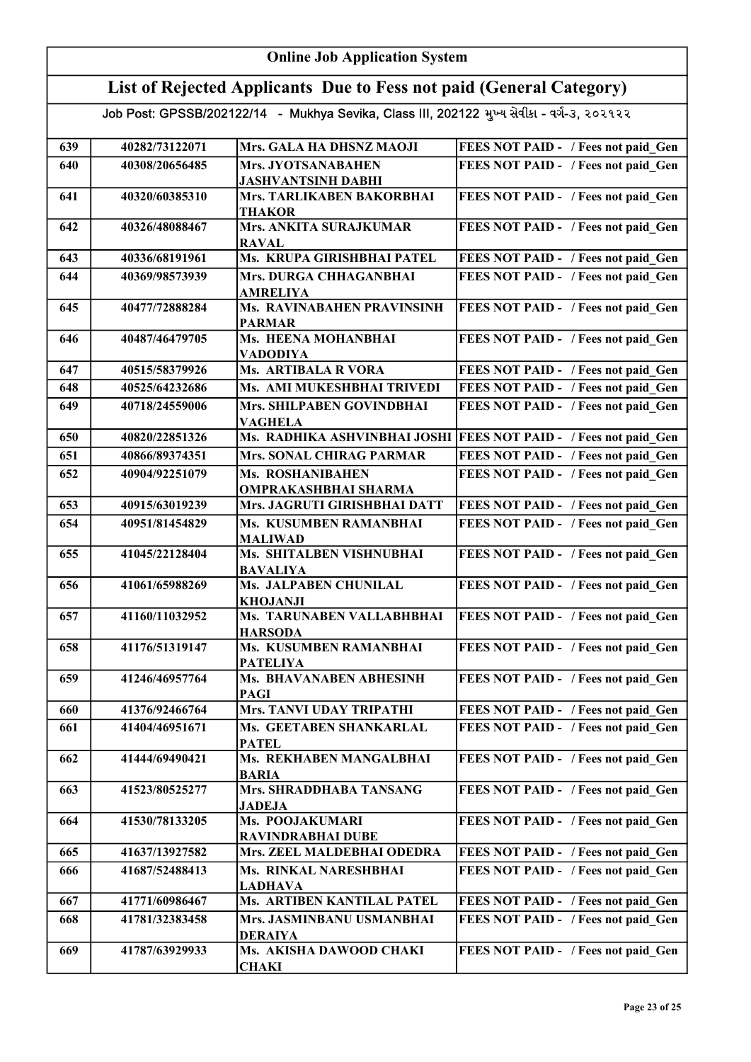|     | <b>Online Job Application System</b>                                |                                                                                            |                                                                  |
|-----|---------------------------------------------------------------------|--------------------------------------------------------------------------------------------|------------------------------------------------------------------|
|     | List of Rejected Applicants Due to Fess not paid (General Category) |                                                                                            |                                                                  |
|     |                                                                     | Job Post: GPSSB/202122/14 - Mukhya Sevika, Class III, 202122 મુખ્ય સેવીકા - વર્ગ-૩, ૨૦૨૧૨૨ |                                                                  |
| 639 | 40282/73122071                                                      | Mrs. GALA HA DHSNZ MAOJI                                                                   | FEES NOT PAID - / Fees not paid Gen                              |
| 640 | 40308/20656485                                                      | Mrs. JYOTSANABAHEN<br><b>JASHVANTSINH DABHI</b>                                            | FEES NOT PAID - / Fees not paid Gen                              |
| 641 | 40320/60385310                                                      | Mrs. TARLIKABEN BAKORBHAI<br><b>THAKOR</b>                                                 | FEES NOT PAID - / Fees not paid Gen                              |
| 642 | 40326/48088467                                                      | Mrs. ANKITA SURAJKUMAR<br><b>RAVAL</b>                                                     | FEES NOT PAID - / Fees not paid Gen                              |
| 643 | 40336/68191961                                                      | Ms. KRUPA GIRISHBHAI PATEL                                                                 | FEES NOT PAID - / Fees not paid Gen                              |
| 644 | 40369/98573939                                                      | Mrs. DURGA CHHAGANBHAI<br><b>AMRELIYA</b>                                                  | FEES NOT PAID - / Fees not paid Gen                              |
| 645 | 40477/72888284                                                      | Ms. RAVINABAHEN PRAVINSINH<br><b>PARMAR</b>                                                | FEES NOT PAID - / Fees not paid_Gen                              |
| 646 | 40487/46479705                                                      | Ms. HEENA MOHANBHAI<br><b>VADODIYA</b>                                                     | FEES NOT PAID - / Fees not paid_Gen                              |
| 647 | 40515/58379926                                                      | <b>Ms. ARTIBALA R VORA</b>                                                                 | FEES NOT PAID - / Fees not paid Gen                              |
| 648 | 40525/64232686                                                      | Ms. AMI MUKESHBHAI TRIVEDI                                                                 | FEES NOT PAID - / Fees not paid Gen                              |
| 649 | 40718/24559006                                                      | Mrs. SHILPABEN GOVINDBHAI<br><b>VAGHELA</b>                                                | FEES NOT PAID - / Fees not paid Gen                              |
| 650 | 40820/22851326                                                      |                                                                                            | Ms. RADHIKA ASHVINBHAI JOSHI FEES NOT PAID - / Fees not paid Gen |
| 651 | 40866/89374351                                                      | <b>Mrs. SONAL CHIRAG PARMAR</b>                                                            | FEES NOT PAID - / Fees not paid Gen                              |
| 652 | 40904/92251079                                                      | Ms. ROSHANIBAHEN<br><b>OMPRAKASHBHAI SHARMA</b>                                            | FEES NOT PAID - / Fees not paid Gen                              |
| 653 | 40915/63019239                                                      | Mrs. JAGRUTI GIRISHBHAI DATT                                                               | FEES NOT PAID - / Fees not paid Gen                              |
| 654 | 40951/81454829                                                      | Ms. KUSUMBEN RAMANBHAI<br><b>MALIWAD</b>                                                   | FEES NOT PAID - / Fees not paid Gen                              |
| 655 | 41045/22128404                                                      | Ms. SHITALBEN VISHNUBHAI<br><b>BAVALIYA</b>                                                | FEES NOT PAID - / Fees not paid_Gen                              |
| 656 | 41061/65988269                                                      | Ms. JALPABEN CHUNILAL<br><b>KHOJANJI</b>                                                   | FEES NOT PAID - / Fees not paid_Gen                              |
| 657 | 41160/11032952                                                      | Ms. TARUNABEN VALLABHBHAI<br><b>HARSODA</b>                                                | <b>FEES NOT PAID - / Fees not paid Gen</b>                       |
| 658 | 41176/51319147                                                      | Ms. KUSUMBEN RAMANBHAI<br><b>PATELIYA</b>                                                  | FEES NOT PAID - / Fees not paid Gen                              |
| 659 | 41246/46957764                                                      | Ms. BHAVANABEN ABHESINH<br><b>PAGI</b>                                                     | FEES NOT PAID - / Fees not paid Gen                              |
| 660 | 41376/92466764                                                      | Mrs. TANVI UDAY TRIPATHI                                                                   | FEES NOT PAID - / Fees not paid Gen                              |
| 661 | 41404/46951671                                                      | Ms. GEETABEN SHANKARLAL<br><b>PATEL</b>                                                    | FEES NOT PAID - / Fees not paid Gen                              |
| 662 | 41444/69490421                                                      | Ms. REKHABEN MANGALBHAI<br><b>BARIA</b>                                                    | FEES NOT PAID - / Fees not paid Gen                              |
| 663 | 41523/80525277                                                      | Mrs. SHRADDHABA TANSANG<br><b>JADEJA</b>                                                   | FEES NOT PAID - / Fees not paid Gen                              |
| 664 | 41530/78133205                                                      | Ms. POOJAKUMARI<br>RAVINDRABHAI DUBE                                                       | FEES NOT PAID - / Fees not paid Gen                              |
| 665 | 41637/13927582                                                      | Mrs. ZEEL MALDEBHAI ODEDRA                                                                 | FEES NOT PAID - / Fees not paid Gen                              |
| 666 | 41687/52488413                                                      | Ms. RINKAL NARESHBHAI<br><b>LADHAVA</b>                                                    | FEES NOT PAID - / Fees not paid Gen                              |
| 667 | 41771/60986467                                                      | Ms. ARTIBEN KANTILAL PATEL                                                                 | FEES NOT PAID - / Fees not paid Gen                              |
| 668 | 41781/32383458                                                      | Mrs. JASMINBANU USMANBHAI<br><b>DERAIYA</b>                                                | FEES NOT PAID - / Fees not paid Gen                              |
| 669 | 41787/63929933                                                      | Ms. AKISHA DAWOOD CHAKI<br><b>CHAKI</b>                                                    | FEES NOT PAID - / Fees not paid Gen                              |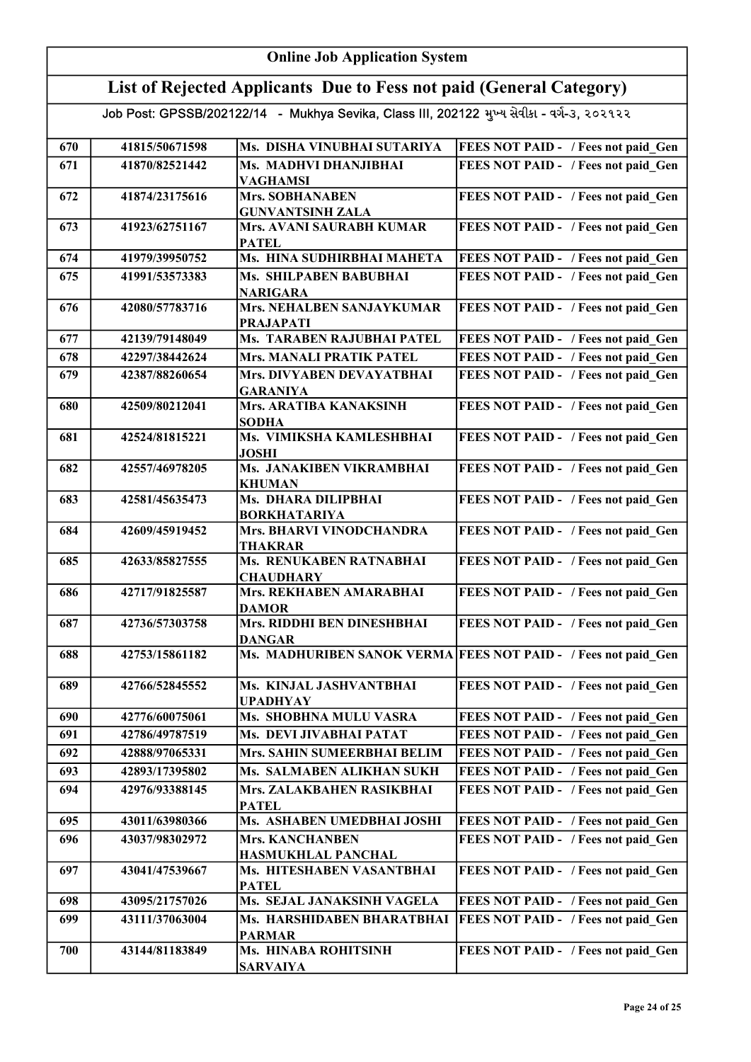| <b>Online Job Application System</b> |                                                                                            |                                                                     |                                                                |  |
|--------------------------------------|--------------------------------------------------------------------------------------------|---------------------------------------------------------------------|----------------------------------------------------------------|--|
|                                      |                                                                                            | List of Rejected Applicants Due to Fess not paid (General Category) |                                                                |  |
|                                      | Job Post: GPSSB/202122/14 - Mukhya Sevika, Class III, 202122 મુખ્ય સેવીકા - વર્ગ-૩, ૨૦૨૧૨૨ |                                                                     |                                                                |  |
| 670                                  | 41815/50671598                                                                             | Ms. DISHA VINUBHAI SUTARIYA                                         | <b>FEES NOT PAID - / Fees not paid Gen</b>                     |  |
| 671                                  | 41870/82521442                                                                             | Ms. MADHVI DHANJIBHAI                                               | FEES NOT PAID - / Fees not paid Gen                            |  |
|                                      |                                                                                            | <b>VAGHAMSI</b>                                                     |                                                                |  |
| 672                                  | 41874/23175616                                                                             | <b>Mrs. SOBHANABEN</b><br><b>GUNVANTSINH ZALA</b>                   | FEES NOT PAID - / Fees not paid Gen                            |  |
| 673                                  | 41923/62751167                                                                             | Mrs. AVANI SAURABH KUMAR<br><b>PATEL</b>                            | FEES NOT PAID - / Fees not paid Gen                            |  |
| 674                                  | 41979/39950752                                                                             | Ms. HINA SUDHIRBHAI MAHETA                                          | FEES NOT PAID - / Fees not paid Gen                            |  |
| 675                                  | 41991/53573383                                                                             | Ms. SHILPABEN BABUBHAI<br><b>NARIGARA</b>                           | FEES NOT PAID - / Fees not paid Gen                            |  |
| 676                                  | 42080/57783716                                                                             | <b>Mrs. NEHALBEN SANJAYKUMAR</b><br><b>PRAJAPATI</b>                | FEES NOT PAID - / Fees not paid Gen                            |  |
| 677                                  | 42139/79148049                                                                             | Ms. TARABEN RAJUBHAI PATEL                                          | FEES NOT PAID - / Fees not paid Gen                            |  |
| 678                                  | 42297/38442624                                                                             | <b>Mrs. MANALI PRATIK PATEL</b>                                     | FEES NOT PAID - / Fees not paid Gen                            |  |
| 679                                  | 42387/88260654                                                                             | Mrs. DIVYABEN DEVAYATBHAI<br><b>GARANIYA</b>                        | FEES NOT PAID - / Fees not paid Gen                            |  |
| 680                                  | 42509/80212041                                                                             | Mrs. ARATIBA KANAKSINH<br><b>SODHA</b>                              | FEES NOT PAID - / Fees not paid Gen                            |  |
| 681                                  | 42524/81815221                                                                             | Ms. VIMIKSHA KAMLESHBHAI<br><b>JOSHI</b>                            | FEES NOT PAID - / Fees not paid Gen                            |  |
| 682                                  | 42557/46978205                                                                             | Ms. JANAKIBEN VIKRAMBHAI<br><b>KHUMAN</b>                           | FEES NOT PAID - / Fees not paid Gen                            |  |
| 683                                  | 42581/45635473                                                                             | Ms. DHARA DILIPBHAI<br><b>BORKHATARIYA</b>                          | FEES NOT PAID - / Fees not paid Gen                            |  |
| 684                                  | 42609/45919452                                                                             | <b>Mrs. BHARVI VINODCHANDRA</b><br>THAKRAR                          | FEES NOT PAID - / Fees not paid Gen                            |  |
| 685                                  | 42633/85827555                                                                             | Ms. RENUKABEN RATNABHAI<br><b>CHAUDHARY</b>                         | FEES NOT PAID - / Fees not paid Gen                            |  |
| 686                                  | 42717/91825587                                                                             | Mrs. REKHABEN AMARABHAI<br><b>DAMOR</b>                             | FEES NOT PAID - / Fees not paid Gen                            |  |
| 687                                  | 42736/57303758                                                                             | Mrs. RIDDHI BEN DINESHBHAI<br><b>DANGAR</b>                         | FEES NOT PAID - / Fees not paid Gen                            |  |
| 688                                  | 42753/15861182                                                                             |                                                                     | Ms. MADHURIBEN SANOK VERMA FEES NOT PAID - / Fees not paid Gen |  |
| 689                                  | 42766/52845552                                                                             | Ms. KINJAL JASHVANTBHAI<br><b>UPADHYAY</b>                          | FEES NOT PAID - / Fees not paid Gen                            |  |
| 690                                  | 42776/60075061                                                                             | Ms. SHOBHNA MULU VASRA                                              | FEES NOT PAID - / Fees not paid Gen                            |  |
| 691                                  | 42786/49787519                                                                             | Ms. DEVI JIVABHAI PATAT                                             | FEES NOT PAID - / Fees not paid Gen                            |  |
| 692                                  | 42888/97065331                                                                             | Mrs. SAHIN SUMEERBHAI BELIM                                         | FEES NOT PAID - / Fees not paid Gen                            |  |
| 693                                  | 42893/17395802                                                                             | Ms. SALMABEN ALIKHAN SUKH                                           | FEES NOT PAID - / Fees not paid Gen                            |  |
| 694                                  | 42976/93388145                                                                             | Mrs. ZALAKBAHEN RASIKBHAI<br><b>PATEL</b>                           | FEES NOT PAID - / Fees not paid Gen                            |  |
| 695                                  | 43011/63980366                                                                             | Ms. ASHABEN UMEDBHAI JOSHI                                          | FEES NOT PAID - / Fees not paid_Gen                            |  |
| 696                                  | 43037/98302972                                                                             | <b>Mrs. KANCHANBEN</b><br><b>HASMUKHLAL PANCHAL</b>                 | FEES NOT PAID - / Fees not paid Gen                            |  |
| 697                                  | 43041/47539667                                                                             | Ms. HITESHABEN VASANTBHAI<br><b>PATEL</b>                           | FEES NOT PAID - / Fees not paid Gen                            |  |
| 698                                  | 43095/21757026                                                                             | Ms. SEJAL JANAKSINH VAGELA                                          | FEES NOT PAID - / Fees not paid Gen                            |  |
| 699                                  | 43111/37063004                                                                             | Ms. HARSHIDABEN BHARATBHAI<br><b>PARMAR</b>                         | FEES NOT PAID - / Fees not paid Gen                            |  |
| 700                                  | 43144/81183849                                                                             | Ms. HINABA ROHITSINH<br><b>SARVAIYA</b>                             | FEES NOT PAID - / Fees not paid Gen                            |  |